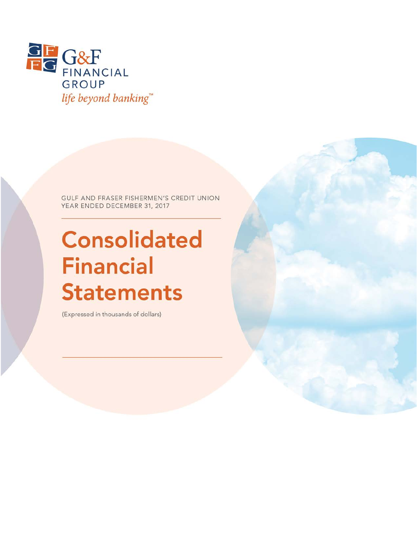

GULF AND FRASER FISHERMEN'S CREDIT UNION YEAR ENDED DECEMBER 31, 2017

# **Consolidated Financial Statements**

(Expressed in thousands of dollars)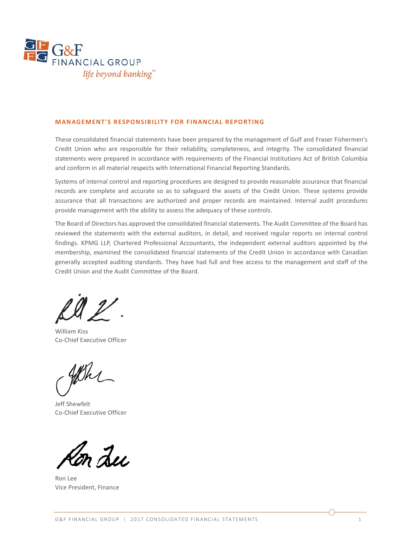

#### **MANAGEMENT'S RESPONSIBILITY FOR FINANCIAL REPORTING**

These consolidated financial statements have been prepared by the management of Gulf and Fraser Fishermen's Credit Union who are responsible for their reliability, completeness, and integrity. The consolidated financial statements were prepared in accordance with requirements of the Financial Institutions Act of British Columbia and conform in all material respects with International Financial Reporting Standards.

Systems of internal control and reporting procedures are designed to provide reasonable assurance that financial records are complete and accurate so as to safeguard the assets of the Credit Union. These systems provide assurance that all transactions are authorized and proper records are maintained. Internal audit procedures provide management with the ability to assess the adequacy of these controls.

The Board of Directors has approved the consolidated financial statements. The Audit Committee of the Board has reviewed the statements with the external auditors, in detail, and received regular reports on internal control findings. KPMG LLP, Chartered Professional Accountants, the independent external auditors appointed by the membership, examined the consolidated financial statements of the Credit Union in accordance with Canadian generally accepted auditing standards. They have had full and free access to the management and staff of the Credit Union and the Audit Committee of the Board.

William Kiss Co-Chief Executive Officer

Whe

Jeff Shewfelt Co-Chief Executive Officer

r Lec

Ron Lee Vice President, Finance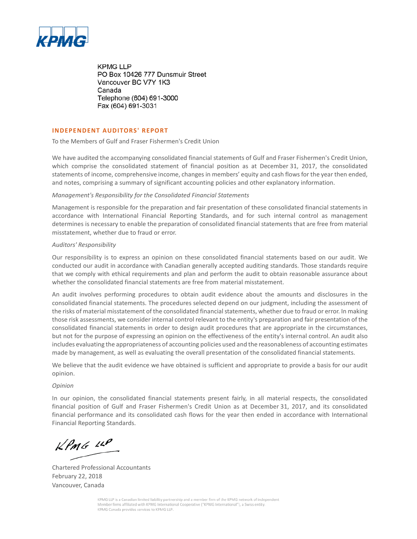

**KPMG LLP** PO Box 10426 777 Dunsmuir Street Vancouver BC V7Y 1K3 Canada Telephone (604) 691-3000 Fax (604) 691-3031

### **INDEPENDENT AUDITORS' REPORT**

To the Members of Gulf and Fraser Fishermen's Credit Union

We have audited the accompanying consolidated financial statements of Gulf and Fraser Fishermen's Credit Union, which comprise the consolidated statement of financial position as at December 31, 2017, the consolidated statements of income, comprehensive income, changes in members' equity and cash flows for the year then ended, and notes, comprising a summary of significant accounting policies and other explanatory information.

### *Management's Responsibility for the Consolidated Financial Statements*

Management is responsible for the preparation and fair presentation of these consolidated financial statements in accordance with International Financial Reporting Standards, and for such internal control as management determines is necessary to enable the preparation of consolidated financial statements that are free from material misstatement, whether due to fraud or error.

### *Auditors' Responsibility*

Our responsibility is to express an opinion on these consolidated financial statements based on our audit. We conducted our audit in accordance with Canadian generally accepted auditing standards. Those standards require that we comply with ethical requirements and plan and perform the audit to obtain reasonable assurance about whether the consolidated financial statements are free from material misstatement.

An audit involves performing procedures to obtain audit evidence about the amounts and disclosures in the consolidated financial statements. The procedures selected depend on our judgment, including the assessment of the risks of material misstatement of the consolidated financial statements, whether due to fraud or error. In making those risk assessments, we consider internal control relevant to the entity's preparation and fair presentation of the consolidated financial statements in order to design audit procedures that are appropriate in the circumstances, but not for the purpose of expressing an opinion on the effectiveness of the entity's internal control. An audit also includes evaluating the appropriateness of accounting policies used and the reasonableness of accounting estimates made by management, as well as evaluating the overall presentation of the consolidated financial statements.

We believe that the audit evidence we have obtained is sufficient and appropriate to provide a basis for our audit opinion.

### *Opinion*

In our opinion, the consolidated financial statements present fairly, in all material respects, the consolidated financial position of Gulf and Fraser Fishermen's Credit Union as at December 31, 2017, and its consolidated financial performance and its consolidated cash flows for the year then ended in accordance with International Financial Reporting Standards.

 $k$ *PMG 14P* 

Chartered Professional Accountants February 22, 2018 Vancouver, Canada

KPMG LLP is a Canadian limited liability partnership and a member firm of the KPMG network of independent Member firms affiliated with KPMG International Cooperative ("KPMG International"), a Swiss entity. KPMG Canada provides services to KPMG LLP.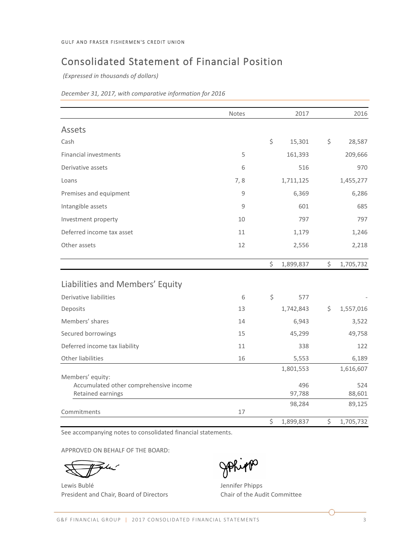# Consolidated Statement of Financial Position

*(Expressed in thousands of dollars)*

|                                                             | Notes          | 2017            | 2016            |
|-------------------------------------------------------------|----------------|-----------------|-----------------|
| Assets                                                      |                |                 |                 |
| Cash                                                        |                | \$<br>15,301    | \$<br>28,587    |
| <b>Financial investments</b>                                | 5              | 161,393         | 209,666         |
| Derivative assets                                           | 6              | 516             | 970             |
| Loans                                                       | 7,8            | 1,711,125       | 1,455,277       |
| Premises and equipment                                      | 9              | 6,369           | 6,286           |
| Intangible assets                                           | $\overline{9}$ | 601             | 685             |
| Investment property                                         | 10             | 797             | 797             |
| Deferred income tax asset                                   | 11             | 1,179           | 1,246           |
| Other assets                                                | 12             | 2,556           | 2,218           |
|                                                             |                |                 |                 |
|                                                             |                | \$<br>1,899,837 | \$<br>1,705,732 |
| Liabilities and Members' Equity                             |                |                 |                 |
| Derivative liabilities                                      | 6              | \$<br>577       |                 |
| Deposits                                                    | 13             | 1,742,843       | \$<br>1,557,016 |
|                                                             |                |                 |                 |
| Members' shares                                             | 14             | 6,943           | 3,522           |
| Secured borrowings                                          | 15             | 45,299          | 49,758          |
| Deferred income tax liability                               | 11             | 338             | 122             |
| <b>Other liabilities</b>                                    | 16             | 5,553           | 6,189           |
|                                                             |                | 1,801,553       | 1,616,607       |
| Members' equity:                                            |                |                 |                 |
| Accumulated other comprehensive income<br>Retained earnings |                | 496<br>97,788   | 524<br>88,601   |
|                                                             |                | 98,284          | 89,125          |
| Commitments                                                 | 17             |                 |                 |
|                                                             |                | \$<br>1,899,837 | \$<br>1,705,732 |

### *December 31, 2017, with comparative information for 2016*

See accompanying notes to consolidated financial statements.

APPROVED ON BEHALF OF THE BOARD:

 $\mu'$ 

Lewis Bublé **Vertex and Service Service Contracts** Jennifer Phipps President and Chair, Board of Directors Chair of the Audit Committee

Johippo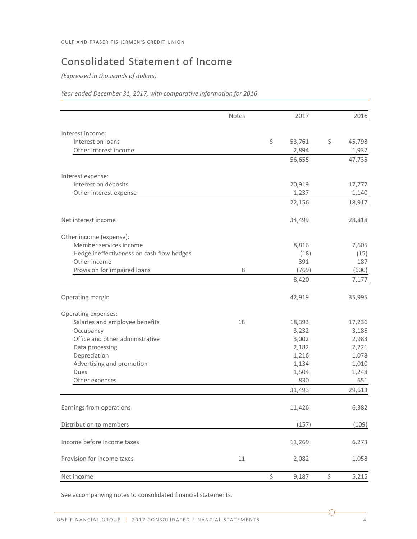# Consolidated Statement of Income

*(Expressed in thousands of dollars)*

*Year ended December 31, 2017, with comparative information for 2016*

|                                           | <b>Notes</b> | 2017         | 2016         |
|-------------------------------------------|--------------|--------------|--------------|
| Interest income:                          |              |              |              |
| Interest on loans                         |              | \$<br>53,761 | \$<br>45,798 |
| Other interest income                     |              | 2,894        | 1,937        |
|                                           |              | 56,655       | 47,735       |
|                                           |              |              |              |
| Interest expense:                         |              |              |              |
| Interest on deposits                      |              | 20,919       | 17,777       |
| Other interest expense                    |              | 1,237        | 1,140        |
|                                           |              | 22,156       | 18,917       |
| Net interest income                       |              | 34,499       | 28,818       |
| Other income (expense):                   |              |              |              |
| Member services income                    |              | 8,816        | 7,605        |
| Hedge ineffectiveness on cash flow hedges |              | (18)         | (15)         |
| Other income                              |              | 391          | 187          |
| Provision for impaired loans              | 8            | (769)        | (600)        |
|                                           |              | 8,420        | 7,177        |
| Operating margin                          |              | 42,919       | 35,995       |
| Operating expenses:                       |              |              |              |
| Salaries and employee benefits            | 18           | 18,393       | 17,236       |
| Occupancy                                 |              | 3,232        | 3,186        |
| Office and other administrative           |              | 3,002        | 2,983        |
| Data processing                           |              | 2,182        | 2,221        |
| Depreciation                              |              | 1,216        | 1,078        |
| Advertising and promotion                 |              | 1,134        | 1,010        |
| Dues                                      |              | 1,504        | 1,248        |
| Other expenses                            |              | 830          | 651          |
|                                           |              | 31,493       | 29,613       |
| Earnings from operations                  |              | 11,426       | 6,382        |
| Distribution to members                   |              | (157)        | (109)        |
| Income before income taxes                |              | 11,269       | 6,273        |
| Provision for income taxes                | 11           | 2,082        | 1,058        |
| Net income                                |              | \$<br>9,187  | \$<br>5,215  |

See accompanying notes to consolidated financial statements.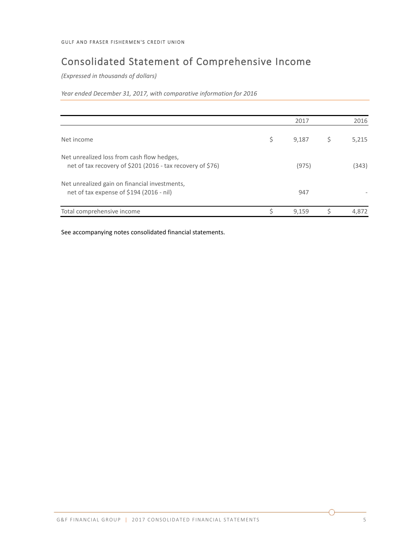# Consolidated Statement of Comprehensive Income

*(Expressed in thousands of dollars)*

### *Year ended December 31, 2017, with comparative information for 2016*

|                                                                                                          | 2017        |   | 2016  |
|----------------------------------------------------------------------------------------------------------|-------------|---|-------|
| Net income                                                                                               | \$<br>9,187 | S | 5,215 |
| Net unrealized loss from cash flow hedges,<br>net of tax recovery of \$201 (2016 - tax recovery of \$76) | (975)       |   | (343) |
| Net unrealized gain on financial investments,<br>net of tax expense of \$194 (2016 - nil)                | 947         |   |       |
| Total comprehensive income                                                                               | 9.159       |   | 4.872 |

See accompanying notes consolidated financial statements.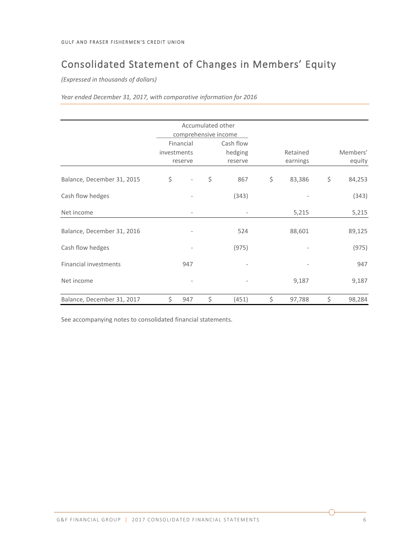# Consolidated Statement of Changes in Members' Equity

*(Expressed in thousands of dollars)*

*Year ended December 31, 2017, with comparative information for 2016*

|                              |    |                      | Accumulated other        |              |              |
|------------------------------|----|----------------------|--------------------------|--------------|--------------|
|                              |    | comprehensive income |                          |              |              |
|                              |    | Financial            | Cash flow                |              |              |
|                              |    | investments          | hedging                  | Retained     | Members'     |
|                              |    | reserve              | reserve                  | earnings     | equity       |
|                              |    |                      |                          |              |              |
| Balance, December 31, 2015   | \$ |                      | \$<br>867                | \$<br>83,386 | \$<br>84,253 |
| Cash flow hedges             |    |                      | (343)                    |              | (343)        |
| Net income                   |    |                      | $\overline{\phantom{a}}$ | 5,215        | 5,215        |
|                              |    |                      |                          |              |              |
| Balance, December 31, 2016   |    |                      | 524                      | 88,601       | 89,125       |
| Cash flow hedges             |    |                      | (975)                    |              | (975)        |
| <b>Financial investments</b> |    | 947                  |                          |              | 947          |
| Net income                   |    |                      | $\overline{\phantom{a}}$ | 9,187        | 9,187        |
| Balance, December 31, 2017   | Ś  | 947                  | \$<br>(451)              | \$<br>97,788 | \$<br>98,284 |

See accompanying notes to consolidated financial statements.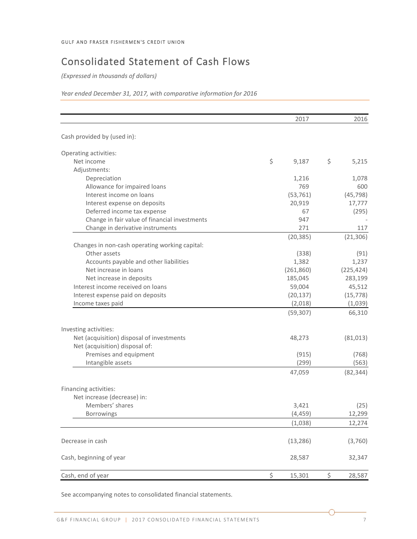# Consolidated Statement of Cash Flows

*(Expressed in thousands of dollars)*

### *Year ended December 31, 2017, with comparative information for 2016*

|                                                | 2017         | 2016         |
|------------------------------------------------|--------------|--------------|
| Cash provided by (used in):                    |              |              |
| Operating activities:                          |              |              |
| Net income                                     | \$<br>9,187  | \$<br>5,215  |
| Adjustments:                                   |              |              |
| Depreciation                                   | 1,216        | 1,078        |
| Allowance for impaired loans                   | 769          | 600          |
| Interest income on loans                       | (53, 761)    | (45, 798)    |
| Interest expense on deposits                   | 20,919       | 17,777       |
| Deferred income tax expense                    | 67           | (295)        |
| Change in fair value of financial investments  | 947          |              |
| Change in derivative instruments               | 271          | 117          |
|                                                | (20, 385)    | (21, 306)    |
| Changes in non-cash operating working capital: |              |              |
| Other assets                                   | (338)        | (91)         |
| Accounts payable and other liabilities         | 1,382        | 1,237        |
| Net increase in loans                          | (261, 860)   | (225, 424)   |
| Net increase in deposits                       | 185,045      | 283,199      |
| Interest income received on loans              | 59,004       | 45,512       |
| Interest expense paid on deposits              | (20, 137)    | (15, 778)    |
| Income taxes paid                              | (2,018)      | (1,039)      |
|                                                | (59, 307)    | 66,310       |
| Investing activities:                          |              |              |
| Net (acquisition) disposal of investments      | 48,273       | (81, 013)    |
| Net (acquisition) disposal of:                 |              |              |
| Premises and equipment                         | (915)        | (768)        |
| Intangible assets                              | (299)        | (563)        |
|                                                | 47,059       | (82, 344)    |
| Financing activities:                          |              |              |
| Net increase (decrease) in:                    |              |              |
| Members' shares                                | 3,421        | (25)         |
| Borrowings                                     | (4, 459)     | 12,299       |
|                                                | (1,038)      | 12,274       |
| Decrease in cash                               | (13, 286)    | (3,760)      |
| Cash, beginning of year                        | 28,587       | 32,347       |
| Cash, end of year                              | \$<br>15,301 | \$<br>28,587 |

See accompanying notes to consolidated financial statements.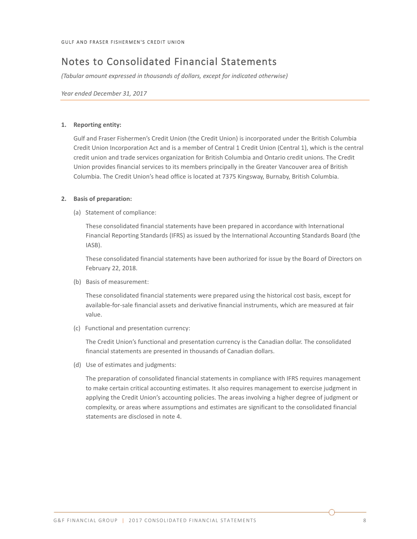*(Tabular amount expressed in thousands of dollars, except for indicated otherwise)*

#### *Year ended December 31, 2017*

#### **1. Reporting entity:**

Gulf and Fraser Fishermen's Credit Union (the Credit Union) is incorporated under the British Columbia Credit Union Incorporation Act and is a member of Central 1 Credit Union (Central 1), which is the central credit union and trade services organization for British Columbia and Ontario credit unions. The Credit Union provides financial services to its members principally in the Greater Vancouver area of British Columbia. The Credit Union's head office is located at 7375 Kingsway, Burnaby, British Columbia.

#### **2. Basis of preparation:**

(a) Statement of compliance:

These consolidated financial statements have been prepared in accordance with International Financial Reporting Standards (IFRS) as issued by the International Accounting Standards Board (the IASB).

These consolidated financial statements have been authorized for issue by the Board of Directors on February 22, 2018.

(b) Basis of measurement:

These consolidated financial statements were prepared using the historical cost basis, except for available-for-sale financial assets and derivative financial instruments, which are measured at fair value.

(c) Functional and presentation currency:

The Credit Union's functional and presentation currency is the Canadian dollar. The consolidated financial statements are presented in thousands of Canadian dollars.

(d) Use of estimates and judgments:

The preparation of consolidated financial statements in compliance with IFRS requires management to make certain critical accounting estimates. It also requires management to exercise judgment in applying the Credit Union's accounting policies. The areas involving a higher degree of judgment or complexity, or areas where assumptions and estimates are significant to the consolidated financial statements are disclosed in note 4.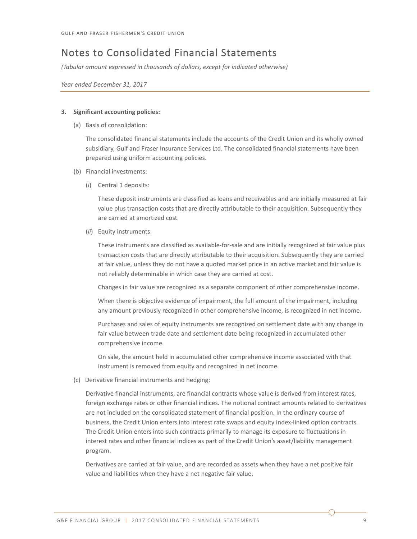*(Tabular amount expressed in thousands of dollars, except for indicated otherwise)*

*Year ended December 31, 2017*

#### **3. Significant accounting policies:**

(a) Basis of consolidation:

The consolidated financial statements include the accounts of the Credit Union and its wholly owned subsidiary, Gulf and Fraser Insurance Services Ltd. The consolidated financial statements have been prepared using uniform accounting policies.

- (b) Financial investments:
	- (*i*) Central 1 deposits:

These deposit instruments are classified as loans and receivables and are initially measured at fair value plus transaction costs that are directly attributable to their acquisition. Subsequently they are carried at amortized cost.

(*ii*) Equity instruments:

These instruments are classified as available-for-sale and are initially recognized at fair value plus transaction costs that are directly attributable to their acquisition. Subsequently they are carried at fair value, unless they do not have a quoted market price in an active market and fair value is not reliably determinable in which case they are carried at cost.

Changes in fair value are recognized as a separate component of other comprehensive income.

When there is objective evidence of impairment, the full amount of the impairment, including any amount previously recognized in other comprehensive income, is recognized in net income.

Purchases and sales of equity instruments are recognized on settlement date with any change in fair value between trade date and settlement date being recognized in accumulated other comprehensive income.

On sale, the amount held in accumulated other comprehensive income associated with that instrument is removed from equity and recognized in net income.

(c) Derivative financial instruments and hedging:

Derivative financial instruments, are financial contracts whose value is derived from interest rates, foreign exchange rates or other financial indices. The notional contract amounts related to derivatives are not included on the consolidated statement of financial position. In the ordinary course of business, the Credit Union enters into interest rate swaps and equity index-linked option contracts. The Credit Union enters into such contracts primarily to manage its exposure to fluctuations in interest rates and other financial indices as part of the Credit Union's asset/liability management program.

Derivatives are carried at fair value, and are recorded as assets when they have a net positive fair value and liabilities when they have a net negative fair value.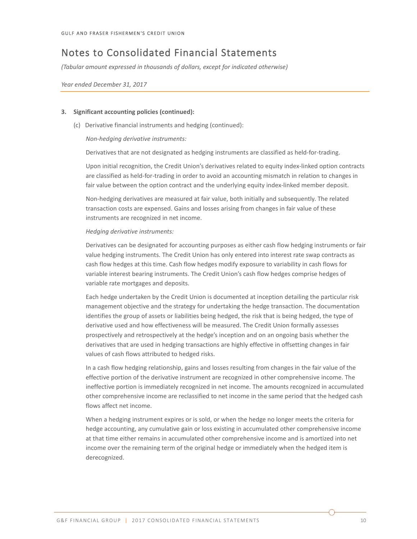*(Tabular amount expressed in thousands of dollars, except for indicated otherwise)*

#### *Year ended December 31, 2017*

### **3. Significant accounting policies (continued):**

(c) Derivative financial instruments and hedging (continued):

#### *Non-hedging derivative instruments:*

Derivatives that are not designated as hedging instruments are classified as held-for-trading.

Upon initial recognition, the Credit Union's derivatives related to equity index-linked option contracts are classified as held-for-trading in order to avoid an accounting mismatch in relation to changes in fair value between the option contract and the underlying equity index-linked member deposit.

Non-hedging derivatives are measured at fair value, both initially and subsequently. The related transaction costs are expensed. Gains and losses arising from changes in fair value of these instruments are recognized in net income.

#### *Hedging derivative instruments:*

Derivatives can be designated for accounting purposes as either cash flow hedging instruments or fair value hedging instruments. The Credit Union has only entered into interest rate swap contracts as cash flow hedges at this time. Cash flow hedges modify exposure to variability in cash flows for variable interest bearing instruments. The Credit Union's cash flow hedges comprise hedges of variable rate mortgages and deposits.

Each hedge undertaken by the Credit Union is documented at inception detailing the particular risk management objective and the strategy for undertaking the hedge transaction. The documentation identifies the group of assets or liabilities being hedged, the risk that is being hedged, the type of derivative used and how effectiveness will be measured. The Credit Union formally assesses prospectively and retrospectively at the hedge's inception and on an ongoing basis whether the derivatives that are used in hedging transactions are highly effective in offsetting changes in fair values of cash flows attributed to hedged risks.

In a cash flow hedging relationship, gains and losses resulting from changes in the fair value of the effective portion of the derivative instrument are recognized in other comprehensive income. The ineffective portion is immediately recognized in net income. The amounts recognized in accumulated other comprehensive income are reclassified to net income in the same period that the hedged cash flows affect net income.

When a hedging instrument expires or is sold, or when the hedge no longer meets the criteria for hedge accounting, any cumulative gain or loss existing in accumulated other comprehensive income at that time either remains in accumulated other comprehensive income and is amortized into net income over the remaining term of the original hedge or immediately when the hedged item is derecognized.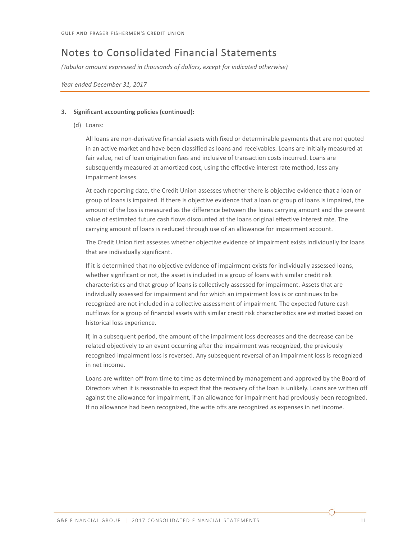*(Tabular amount expressed in thousands of dollars, except for indicated otherwise)*

#### *Year ended December 31, 2017*

### **3. Significant accounting policies (continued):**

(d) Loans:

All loans are non-derivative financial assets with fixed or determinable payments that are not quoted in an active market and have been classified as loans and receivables. Loans are initially measured at fair value, net of loan origination fees and inclusive of transaction costs incurred. Loans are subsequently measured at amortized cost, using the effective interest rate method, less any impairment losses.

At each reporting date, the Credit Union assesses whether there is objective evidence that a loan or group of loans is impaired. If there is objective evidence that a loan or group of loans is impaired, the amount of the loss is measured as the difference between the loans carrying amount and the present value of estimated future cash flows discounted at the loans original effective interest rate. The carrying amount of loans is reduced through use of an allowance for impairment account.

The Credit Union first assesses whether objective evidence of impairment exists individually for loans that are individually significant.

If it is determined that no objective evidence of impairment exists for individually assessed loans, whether significant or not, the asset is included in a group of loans with similar credit risk characteristics and that group of loans is collectively assessed for impairment. Assets that are individually assessed for impairment and for which an impairment loss is or continues to be recognized are not included in a collective assessment of impairment. The expected future cash outflows for a group of financial assets with similar credit risk characteristics are estimated based on historical loss experience.

If, in a subsequent period, the amount of the impairment loss decreases and the decrease can be related objectively to an event occurring after the impairment was recognized, the previously recognized impairment loss is reversed. Any subsequent reversal of an impairment loss is recognized in net income.

Loans are written off from time to time as determined by management and approved by the Board of Directors when it is reasonable to expect that the recovery of the loan is unlikely. Loans are written off against the allowance for impairment, if an allowance for impairment had previously been recognized. If no allowance had been recognized, the write offs are recognized as expenses in net income.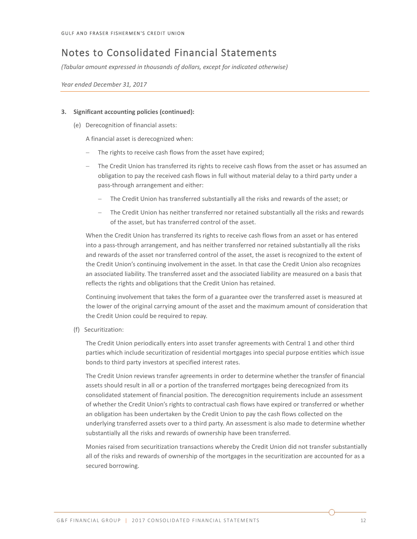*(Tabular amount expressed in thousands of dollars, except for indicated otherwise)*

*Year ended December 31, 2017*

#### **3. Significant accounting policies (continued):**

(e) Derecognition of financial assets:

A financial asset is derecognized when:

- The rights to receive cash flows from the asset have expired;
- − The Credit Union has transferred its rights to receive cash flows from the asset or has assumed an obligation to pay the received cash flows in full without material delay to a third party under a pass-through arrangement and either:
	- The Credit Union has transferred substantially all the risks and rewards of the asset; or
	- The Credit Union has neither transferred nor retained substantially all the risks and rewards of the asset, but has transferred control of the asset.

When the Credit Union has transferred its rights to receive cash flows from an asset or has entered into a pass-through arrangement, and has neither transferred nor retained substantially all the risks and rewards of the asset nor transferred control of the asset, the asset is recognized to the extent of the Credit Union's continuing involvement in the asset. In that case the Credit Union also recognizes an associated liability. The transferred asset and the associated liability are measured on a basis that reflects the rights and obligations that the Credit Union has retained.

Continuing involvement that takes the form of a guarantee over the transferred asset is measured at the lower of the original carrying amount of the asset and the maximum amount of consideration that the Credit Union could be required to repay.

(f) Securitization:

The Credit Union periodically enters into asset transfer agreements with Central 1 and other third parties which include securitization of residential mortgages into special purpose entities which issue bonds to third party investors at specified interest rates.

The Credit Union reviews transfer agreements in order to determine whether the transfer of financial assets should result in all or a portion of the transferred mortgages being derecognized from its consolidated statement of financial position. The derecognition requirements include an assessment of whether the Credit Union's rights to contractual cash flows have expired or transferred or whether an obligation has been undertaken by the Credit Union to pay the cash flows collected on the underlying transferred assets over to a third party. An assessment is also made to determine whether substantially all the risks and rewards of ownership have been transferred.

Monies raised from securitization transactions whereby the Credit Union did not transfer substantially all of the risks and rewards of ownership of the mortgages in the securitization are accounted for as a secured borrowing.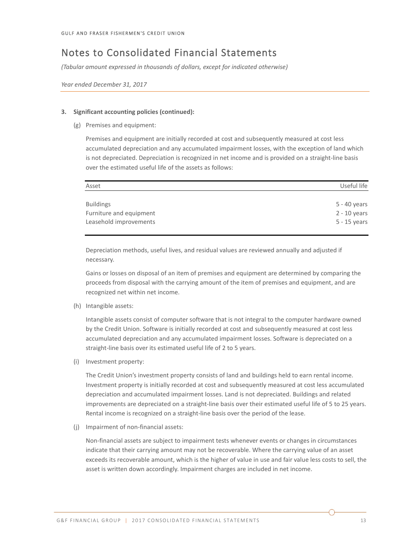*(Tabular amount expressed in thousands of dollars, except for indicated otherwise)*

*Year ended December 31, 2017*

### **3. Significant accounting policies (continued):**

(g) Premises and equipment:

Premises and equipment are initially recorded at cost and subsequently measured at cost less accumulated depreciation and any accumulated impairment losses, with the exception of land which is not depreciated. Depreciation is recognized in net income and is provided on a straight-line basis over the estimated useful life of the assets as follows:

| Asset                   | Useful life    |
|-------------------------|----------------|
|                         |                |
| <b>Buildings</b>        | 5 - 40 years   |
| Furniture and equipment | $2 - 10$ years |
| Leasehold improvements  | $5 - 15$ years |

Depreciation methods, useful lives, and residual values are reviewed annually and adjusted if necessary.

Gains or losses on disposal of an item of premises and equipment are determined by comparing the proceeds from disposal with the carrying amount of the item of premises and equipment, and are recognized net within net income.

(h) Intangible assets:

Intangible assets consist of computer software that is not integral to the computer hardware owned by the Credit Union. Software is initially recorded at cost and subsequently measured at cost less accumulated depreciation and any accumulated impairment losses. Software is depreciated on a straight-line basis over its estimated useful life of 2 to 5 years.

(i) Investment property:

The Credit Union's investment property consists of land and buildings held to earn rental income. Investment property is initially recorded at cost and subsequently measured at cost less accumulated depreciation and accumulated impairment losses. Land is not depreciated. Buildings and related improvements are depreciated on a straight-line basis over their estimated useful life of 5 to 25 years. Rental income is recognized on a straight-line basis over the period of the lease.

(j) Impairment of non-financial assets:

Non-financial assets are subject to impairment tests whenever events or changes in circumstances indicate that their carrying amount may not be recoverable. Where the carrying value of an asset exceeds its recoverable amount, which is the higher of value in use and fair value less costs to sell, the asset is written down accordingly. Impairment charges are included in net income.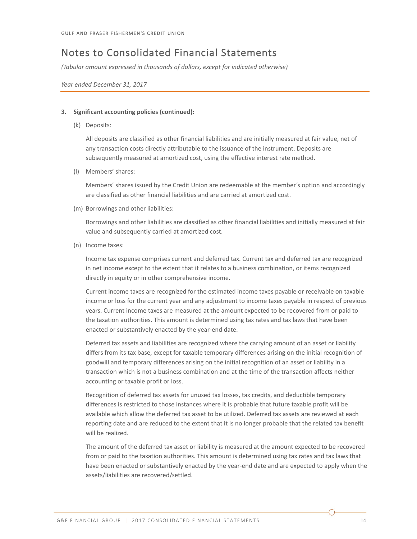*(Tabular amount expressed in thousands of dollars, except for indicated otherwise)*

#### *Year ended December 31, 2017*

#### **3. Significant accounting policies (continued):**

(k) Deposits:

All deposits are classified as other financial liabilities and are initially measured at fair value, net of any transaction costs directly attributable to the issuance of the instrument. Deposits are subsequently measured at amortized cost, using the effective interest rate method.

(l) Members' shares:

Members' shares issued by the Credit Union are redeemable at the member's option and accordingly are classified as other financial liabilities and are carried at amortized cost.

(m) Borrowings and other liabilities:

Borrowings and other liabilities are classified as other financial liabilities and initially measured at fair value and subsequently carried at amortized cost.

(n) Income taxes:

Income tax expense comprises current and deferred tax. Current tax and deferred tax are recognized in net income except to the extent that it relates to a business combination, or items recognized directly in equity or in other comprehensive income.

Current income taxes are recognized for the estimated income taxes payable or receivable on taxable income or loss for the current year and any adjustment to income taxes payable in respect of previous years. Current income taxes are measured at the amount expected to be recovered from or paid to the taxation authorities. This amount is determined using tax rates and tax laws that have been enacted or substantively enacted by the year-end date.

Deferred tax assets and liabilities are recognized where the carrying amount of an asset or liability differs from its tax base, except for taxable temporary differences arising on the initial recognition of goodwill and temporary differences arising on the initial recognition of an asset or liability in a transaction which is not a business combination and at the time of the transaction affects neither accounting or taxable profit or loss.

Recognition of deferred tax assets for unused tax losses, tax credits, and deductible temporary differences is restricted to those instances where it is probable that future taxable profit will be available which allow the deferred tax asset to be utilized. Deferred tax assets are reviewed at each reporting date and are reduced to the extent that it is no longer probable that the related tax benefit will be realized.

The amount of the deferred tax asset or liability is measured at the amount expected to be recovered from or paid to the taxation authorities. This amount is determined using tax rates and tax laws that have been enacted or substantively enacted by the year-end date and are expected to apply when the assets/liabilities are recovered/settled.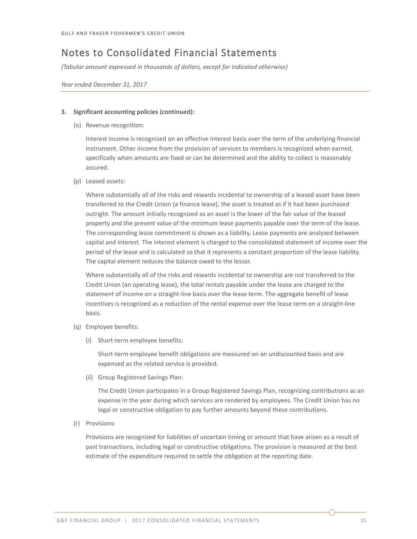*(Tabular amount expressed in thousands of dollars, except for indicated otherwise)*

*Year ended December 31, 2017*

### **3. Significant accounting policies (continued):**

(o) Revenue recognition:

Interest income is recognized on an effective interest basis over the term of the underlying financial instrument. Other income from the provision of services to members is recognized when earned, specifically when amounts are fixed or can be determined and the ability to collect is reasonably assured.

(p) Leased assets:

Where substantially all of the risks and rewards incidental to ownership of a leased asset have been transferred to the Credit Union (a finance lease), the asset is treated as if it had been purchased outright. The amount initially recognized as an asset is the lower of the fair value of the leased property and the present value of the minimum lease payments payable over the term of the lease. The corresponding lease commitment is shown as a liability. Lease payments are analyzed between capital and interest. The interest element is charged to the consolidated statement of income over the period of the lease and is calculated so that it represents a constant proportion of the lease liability. The capital element reduces the balance owed to the lessor.

Where substantially all of the risks and rewards incidental to ownership are not transferred to the Credit Union (an operating lease), the total rentals payable under the lease are charged to the statement of income on a straight-line basis over the lease term. The aggregate benefit of lease incentives is recognized as a reduction of the rental expense over the lease term on a straight-line basis.

- (q) Employee benefits:
	- (*i*) Short-term employee benefits:

Short-term employee benefit obligations are measured on an undiscounted basis and are expensed as the related service is provided.

(*ii*) Group Registered Savings Plan:

The Credit Union participates in a Group Registered Savings Plan, recognizing contributions as an expense in the year during which services are rendered by employees. The Credit Union has no legal or constructive obligation to pay further amounts beyond these contributions.

(r) Provisions:

Provisions are recognized for liabilities of uncertain timing or amount that have arisen as a result of past transactions, including legal or constructive obligations. The provision is measured at the best estimate of the expenditure required to settle the obligation at the reporting date.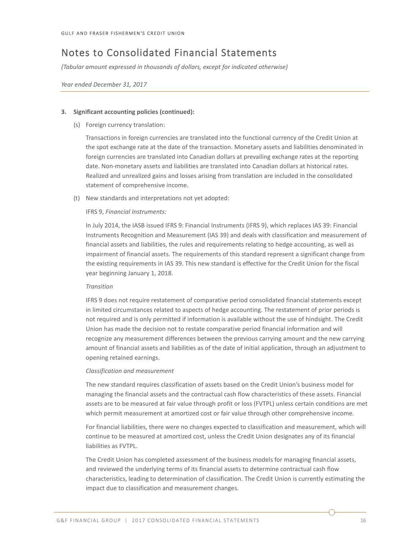*(Tabular amount expressed in thousands of dollars, except for indicated otherwise)*

#### *Year ended December 31, 2017*

#### **3. Significant accounting policies (continued):**

(s) Foreign currency translation:

Transactions in foreign currencies are translated into the functional currency of the Credit Union at the spot exchange rate at the date of the transaction. Monetary assets and liabilities denominated in foreign currencies are translated into Canadian dollars at prevailing exchange rates at the reporting date. Non-monetary assets and liabilities are translated into Canadian dollars at historical rates. Realized and unrealized gains and losses arising from translation are included in the consolidated statement of comprehensive income.

(t) New standards and interpretations not yet adopted:

#### IFRS 9, *Financial Instruments:*

In July 2014, the IASB issued IFRS 9: Financial Instruments (IFRS 9), which replaces IAS 39: Financial Instruments Recognition and Measurement (IAS 39) and deals with classification and measurement of financial assets and liabilities, the rules and requirements relating to hedge accounting, as well as impairment of financial assets. The requirements of this standard represent a significant change from the existing requirements in IAS 39. This new standard is effective for the Credit Union for the fiscal year beginning January 1, 2018.

#### *Transition*

IFRS 9 does not require restatement of comparative period consolidated financial statements except in limited circumstances related to aspects of hedge accounting. The restatement of prior periods is not required and is only permitted if information is available without the use of hindsight. The Credit Union has made the decision not to restate comparative period financial information and will recognize any measurement differences between the previous carrying amount and the new carrying amount of financial assets and liabilities as of the date of initial application, through an adjustment to opening retained earnings.

#### *Classification and measurement*

The new standard requires classification of assets based on the Credit Union's business model for managing the financial assets and the contractual cash flow characteristics of these assets. Financial assets are to be measured at fair value through profit or loss (FVTPL) unless certain conditions are met which permit measurement at amortized cost or fair value through other comprehensive income.

For financial liabilities, there were no changes expected to classification and measurement, which will continue to be measured at amortized cost, unless the Credit Union designates any of its financial liabilities as FVTPL.

The Credit Union has completed assessment of the business models for managing financial assets, and reviewed the underlying terms of its financial assets to determine contractual cash flow characteristics, leading to determination of classification. The Credit Union is currently estimating the impact due to classification and measurement changes.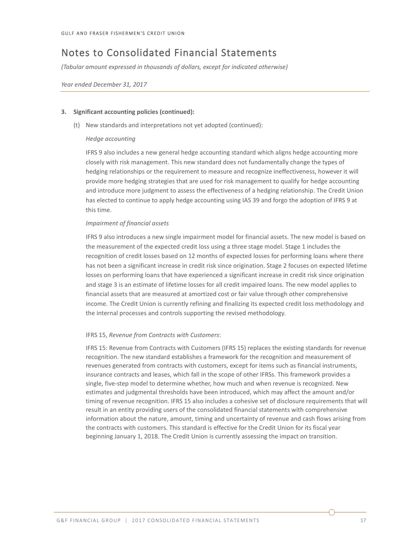*(Tabular amount expressed in thousands of dollars, except for indicated otherwise)*

#### *Year ended December 31, 2017*

### **3. Significant accounting policies (continued):**

(t) New standards and interpretations not yet adopted (continued):

#### *Hedge accounting*

IFRS 9 also includes a new general hedge accounting standard which aligns hedge accounting more closely with risk management. This new standard does not fundamentally change the types of hedging relationships or the requirement to measure and recognize ineffectiveness, however it will provide more hedging strategies that are used for risk management to qualify for hedge accounting and introduce more judgment to assess the effectiveness of a hedging relationship. The Credit Union has elected to continue to apply hedge accounting using IAS 39 and forgo the adoption of IFRS 9 at this time.

#### *Impairment of financial assets*

IFRS 9 also introduces a new single impairment model for financial assets. The new model is based on the measurement of the expected credit loss using a three stage model. Stage 1 includes the recognition of credit losses based on 12 months of expected losses for performing loans where there has not been a significant increase in credit risk since origination. Stage 2 focuses on expected lifetime losses on performing loans that have experienced a significant increase in credit risk since origination and stage 3 is an estimate of lifetime losses for all credit impaired loans. The new model applies to financial assets that are measured at amortized cost or fair value through other comprehensive income. The Credit Union is currently refining and finalizing its expected credit loss methodology and the internal processes and controls supporting the revised methodology.

#### IFRS 15, *Revenue from Contracts with Customers*:

IFRS 15: Revenue from Contracts with Customers (IFRS 15) replaces the existing standards for revenue recognition. The new standard establishes a framework for the recognition and measurement of revenues generated from contracts with customers, except for items such as financial instruments, insurance contracts and leases, which fall in the scope of other IFRSs. This framework provides a single, five-step model to determine whether, how much and when revenue is recognized. New estimates and judgmental thresholds have been introduced, which may affect the amount and/or timing of revenue recognition. IFRS 15 also includes a cohesive set of disclosure requirements that will result in an entity providing users of the consolidated financial statements with comprehensive information about the nature, amount, timing and uncertainty of revenue and cash flows arising from the contracts with customers. This standard is effective for the Credit Union for its fiscal year beginning January 1, 2018. The Credit Union is currently assessing the impact on transition.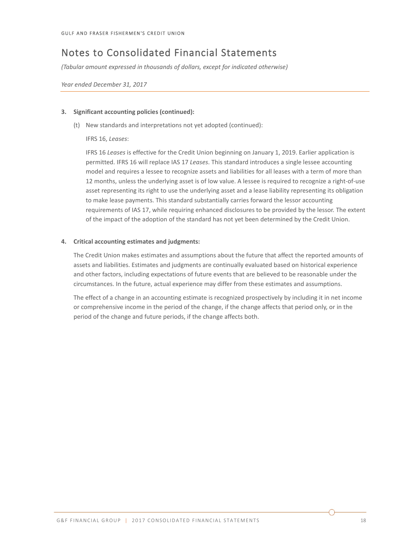*(Tabular amount expressed in thousands of dollars, except for indicated otherwise)*

#### *Year ended December 31, 2017*

### **3. Significant accounting policies (continued):**

(t) New standards and interpretations not yet adopted (continued):

#### IFRS 16, *Leases*:

IFRS 16 *Leases* is effective for the Credit Union beginning on January 1, 2019. Earlier application is permitted. IFRS 16 will replace IAS 17 *Leases*. This standard introduces a single lessee accounting model and requires a lessee to recognize assets and liabilities for all leases with a term of more than 12 months, unless the underlying asset is of low value. A lessee is required to recognize a right-of-use asset representing its right to use the underlying asset and a lease liability representing its obligation to make lease payments. This standard substantially carries forward the lessor accounting requirements of IAS 17, while requiring enhanced disclosures to be provided by the lessor. The extent of the impact of the adoption of the standard has not yet been determined by the Credit Union.

#### **4. Critical accounting estimates and judgments:**

The Credit Union makes estimates and assumptions about the future that affect the reported amounts of assets and liabilities. Estimates and judgments are continually evaluated based on historical experience and other factors, including expectations of future events that are believed to be reasonable under the circumstances. In the future, actual experience may differ from these estimates and assumptions.

The effect of a change in an accounting estimate is recognized prospectively by including it in net income or comprehensive income in the period of the change, if the change affects that period only, or in the period of the change and future periods, if the change affects both.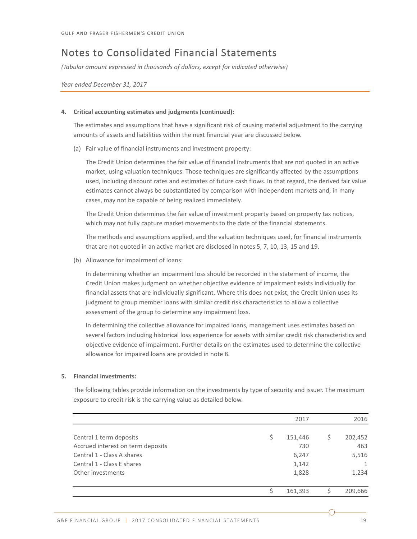*(Tabular amount expressed in thousands of dollars, except for indicated otherwise)*

*Year ended December 31, 2017*

#### **4. Critical accounting estimates and judgments (continued):**

The estimates and assumptions that have a significant risk of causing material adjustment to the carrying amounts of assets and liabilities within the next financial year are discussed below.

(a) Fair value of financial instruments and investment property:

The Credit Union determines the fair value of financial instruments that are not quoted in an active market, using valuation techniques. Those techniques are significantly affected by the assumptions used, including discount rates and estimates of future cash flows. In that regard, the derived fair value estimates cannot always be substantiated by comparison with independent markets and, in many cases, may not be capable of being realized immediately.

The Credit Union determines the fair value of investment property based on property tax notices, which may not fully capture market movements to the date of the financial statements.

The methods and assumptions applied, and the valuation techniques used, for financial instruments that are not quoted in an active market are disclosed in notes 5, 7, 10, 13, 15 and 19.

(b) Allowance for impairment of loans:

In determining whether an impairment loss should be recorded in the statement of income, the Credit Union makes judgment on whether objective evidence of impairment exists individually for financial assets that are individually significant. Where this does not exist, the Credit Union uses its judgment to group member loans with similar credit risk characteristics to allow a collective assessment of the group to determine any impairment loss.

In determining the collective allowance for impaired loans, management uses estimates based on several factors including historical loss experience for assets with similar credit risk characteristics and objective evidence of impairment. Further details on the estimates used to determine the collective allowance for impaired loans are provided in note 8.

#### **5. Financial investments:**

The following tables provide information on the investments by type of security and issuer. The maximum exposure to credit risk is the carrying value as detailed below.

|                                   | 2017          | 2016    |
|-----------------------------------|---------------|---------|
|                                   |               |         |
| Central 1 term deposits           | \$<br>151,446 | 202,452 |
| Accrued interest on term deposits | 730           | 463     |
| Central 1 - Class A shares        | 6,247         | 5,516   |
| Central 1 - Class E shares        | 1,142         | 1       |
| Other investments                 | 1,828         | 1,234   |
|                                   |               |         |
|                                   | 161,393       | 209,666 |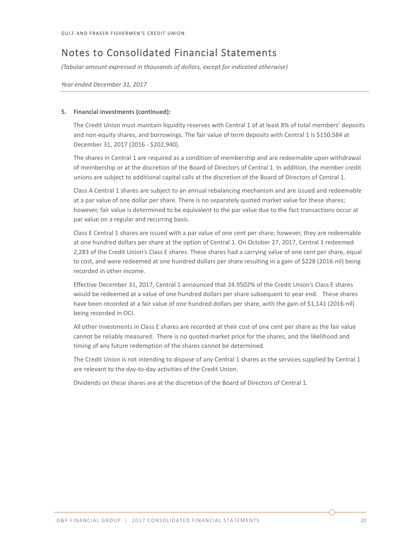*(Tabular amount expressed in thousands of dollars, except for indicated otherwise)*

*Year ended December 31, 2017*

#### **5. Financial investments (continued):**

The Credit Union must maintain liquidity reserves with Central 1 of at least 8% of total members' deposits and non-equity shares, and borrowings. The fair value of term deposits with Central 1 is \$150,584 at December 31, 2017 (2016 - \$202,940).

The shares in Central 1 are required as a condition of membership and are redeemable upon withdrawal of membership or at the discretion of the Board of Directors of Central 1. In addition, the member credit unions are subject to additional capital calls at the discretion of the Board of Directors of Central 1.

Class A Central 1 shares are subject to an annual rebalancing mechanism and are issued and redeemable at a par value of one dollar per share. There is no separately quoted market value for these shares; however, fair value is determined to be equivalent to the par value due to the fact transactions occur at par value on a regular and recurring basis.

Class E Central 1 shares are issued with a par value of one cent per share; however, they are redeemable at one hundred dollars per share at the option of Central 1. On October 27, 2017, Central 1 redeemed 2,283 of the Credit Union's Class E shares. These shares had a carrying value of one cent per share, equal to cost, and were redeemed at one hundred dollars per share resulting in a gain of \$228 (2016-nil) being recorded in other income.

Effective December 31, 2017, Central 1 announced that 24.9502% of the Credit Union's Class E shares would be redeemed at a value of one hundred dollars per share subsequent to year end. These shares have been recorded at a fair value of one hundred dollars per share, with the gain of \$1,141 (2016-nil) being recorded in OCI.

All other investments in Class E shares are recorded at their cost of one cent per share as the fair value cannot be reliably measured. There is no quoted market price for the shares, and the likelihood and timing of any future redemption of the shares cannot be determined.

The Credit Union is not intending to dispose of any Central 1 shares as the services supplied by Central 1 are relevant to the day-to-day activities of the Credit Union.

Dividends on these shares are at the discretion of the Board of Directors of Central 1.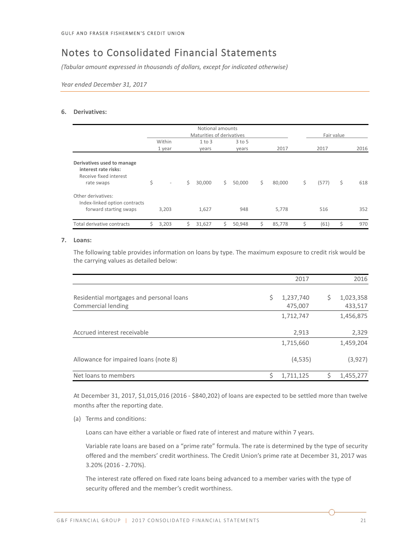*(Tabular amount expressed in thousands of dollars, except for indicated otherwise)*

*Year ended December 31, 2017*

### **6. Derivatives:**

|                                                                                            | Notional amounts<br>Maturities of derivatives |                          |    |                     |    |                     |    |        |             | Fair value |      |
|--------------------------------------------------------------------------------------------|-----------------------------------------------|--------------------------|----|---------------------|----|---------------------|----|--------|-------------|------------|------|
|                                                                                            |                                               | Within<br>1 year         |    | $1$ to $3$<br>years |    | $3$ to $5$<br>years |    | 2017   | 2017        |            | 2016 |
| Derivatives used to manage<br>interest rate risks:<br>Receive fixed interest<br>rate swaps | Ś                                             | $\overline{\phantom{a}}$ | Ś. | 30,000              | Ś. | 50,000              | \$ | 80.000 | \$<br>(577) | \$         | 618  |
| Other derivatives:<br>Index-linked option contracts<br>forward starting swaps              |                                               | 3.203                    |    | 1,627               |    | 948                 |    | 5.778  | 516         |            | 352  |
| Total derivative contracts                                                                 | \$                                            | 3,203                    | Ś. | 31,627              | Ś  | 50,948              | Ś  | 85,778 | \$<br>(61)  | \$         | 970  |

### **7. Loans:**

The following table provides information on loans by type. The maximum exposure to credit risk would be the carrying values as detailed below:

|                                          | 2017            | 2016           |
|------------------------------------------|-----------------|----------------|
|                                          |                 |                |
| Residential mortgages and personal loans | \$<br>1,237,740 | 1,023,358<br>S |
| Commercial lending                       | 475,007         | 433,517        |
|                                          | 1,712,747       | 1,456,875      |
| Accrued interest receivable              | 2,913           | 2,329          |
|                                          | 1,715,660       | 1,459,204      |
| Allowance for impaired loans (note 8)    | (4, 535)        | (3,927)        |
| Net loans to members                     | \$<br>1,711,125 | 1,455,277      |

At December 31, 2017, \$1,015,016 (2016 - \$840,202) of loans are expected to be settled more than twelve months after the reporting date.

(a) Terms and conditions:

Loans can have either a variable or fixed rate of interest and mature within 7 years.

Variable rate loans are based on a "prime rate" formula. The rate is determined by the type of security offered and the members' credit worthiness. The Credit Union's prime rate at December 31, 2017 was 3.20% (2016 - 2.70%).

The interest rate offered on fixed rate loans being advanced to a member varies with the type of security offered and the member's credit worthiness.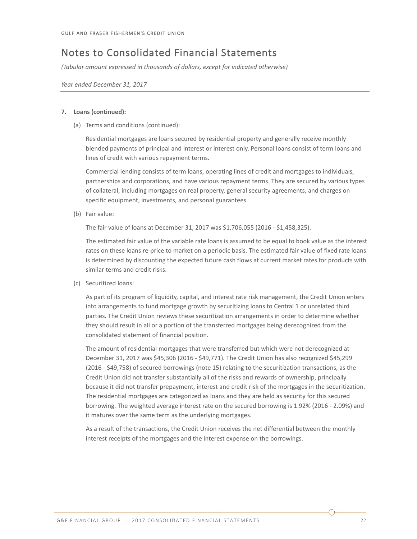*(Tabular amount expressed in thousands of dollars, except for indicated otherwise)*

*Year ended December 31, 2017*

### **7. Loans (continued):**

(a) Terms and conditions (continued):

Residential mortgages are loans secured by residential property and generally receive monthly blended payments of principal and interest or interest only. Personal loans consist of term loans and lines of credit with various repayment terms.

Commercial lending consists of term loans, operating lines of credit and mortgages to individuals, partnerships and corporations, and have various repayment terms. They are secured by various types of collateral, including mortgages on real property, general security agreements, and charges on specific equipment, investments, and personal guarantees.

(b) Fair value:

The fair value of loans at December 31, 2017 was \$1,706,055 (2016 - \$1,458,325).

The estimated fair value of the variable rate loans is assumed to be equal to book value as the interest rates on these loans re-price to market on a periodic basis. The estimated fair value of fixed rate loans is determined by discounting the expected future cash flows at current market rates for products with similar terms and credit risks.

(c) Securitized loans:

As part of its program of liquidity, capital, and interest rate risk management, the Credit Union enters into arrangements to fund mortgage growth by securitizing loans to Central 1 or unrelated third parties. The Credit Union reviews these securitization arrangements in order to determine whether they should result in all or a portion of the transferred mortgages being derecognized from the consolidated statement of financial position.

The amount of residential mortgages that were transferred but which were not derecognized at December 31, 2017 was \$45,306 (2016 - \$49,771). The Credit Union has also recognized \$45,299 (2016 - \$49,758) of secured borrowings (note 15) relating to the securitization transactions, as the Credit Union did not transfer substantially all of the risks and rewards of ownership, principally because it did not transfer prepayment, interest and credit risk of the mortgages in the securitization. The residential mortgages are categorized as loans and they are held as security for this secured borrowing. The weighted average interest rate on the secured borrowing is 1.92% (2016 - 2.09%) and it matures over the same term as the underlying mortgages.

As a result of the transactions, the Credit Union receives the net differential between the monthly interest receipts of the mortgages and the interest expense on the borrowings.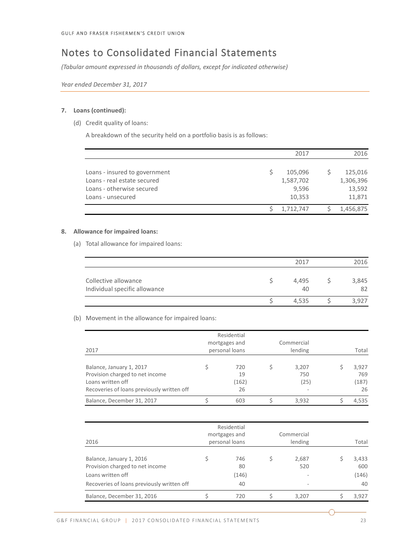*(Tabular amount expressed in thousands of dollars, except for indicated otherwise)*

*Year ended December 31, 2017*

### **7. Loans (continued):**

(d) Credit quality of loans:

A breakdown of the security held on a portfolio basis is as follows:

|                               | 2017      | 2016      |
|-------------------------------|-----------|-----------|
| Loans - insured to government | 105,096   | 125,016   |
| Loans - real estate secured   | 1,587,702 | 1,306,396 |
| Loans - otherwise secured     | 9,596     | 13,592    |
| Loans - unsecured             | 10,353    | 11,871    |
|                               | 1,712,747 | 1,456,875 |

### **8. Allowance for impaired loans:**

(a) Total allowance for impaired loans:

|                                                       | 2017        | 2016        |
|-------------------------------------------------------|-------------|-------------|
| Collective allowance<br>Individual specific allowance | 4,495<br>40 | 3,845<br>82 |
|                                                       | 4.535       | 3.927       |

### (b) Movement in the allowance for impaired loans:

| 2017                                                                                                                           | Residential<br>mortgages and<br>personal loans |                          | Commercial<br>lending     | Total                       |
|--------------------------------------------------------------------------------------------------------------------------------|------------------------------------------------|--------------------------|---------------------------|-----------------------------|
| Balance, January 1, 2017<br>Provision charged to net income<br>Loans written off<br>Recoveries of loans previously written off |                                                | 720<br>19<br>(162)<br>26 | 3,207<br>750<br>(25)<br>- | 3,927<br>769<br>(187)<br>26 |
| Balance, December 31, 2017                                                                                                     |                                                | 603                      | 3,932                     | 4.535                       |

| 2016                                                                                                                           | Residential<br>mortgages and<br>personal loans |                          | Commercial<br>lending | Total                  |                             |
|--------------------------------------------------------------------------------------------------------------------------------|------------------------------------------------|--------------------------|-----------------------|------------------------|-----------------------------|
| Balance, January 1, 2016<br>Provision charged to net income<br>Loans written off<br>Recoveries of loans previously written off |                                                | 746<br>80<br>(146)<br>40 |                       | 2,687<br>520<br>$\sim$ | 3,433<br>600<br>(146)<br>40 |
| Balance, December 31, 2016                                                                                                     |                                                | 720                      |                       | 3,207                  | 3,927                       |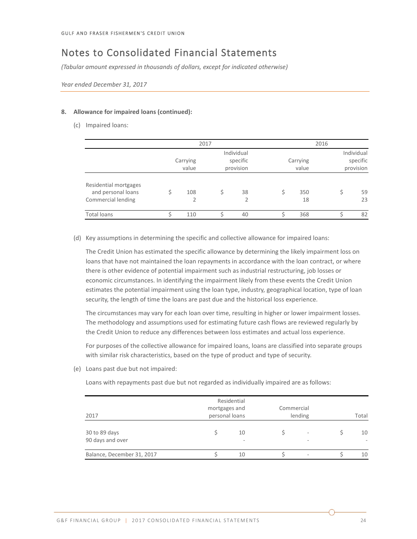*(Tabular amount expressed in thousands of dollars, except for indicated otherwise)*

*Year ended December 31, 2017*

### **8. Allowance for impaired loans (continued):**

(c) Impaired loans:

|                                                                   |   | 2017              |  |                                     |  | 2016              |  |                                     |  |
|-------------------------------------------------------------------|---|-------------------|--|-------------------------------------|--|-------------------|--|-------------------------------------|--|
|                                                                   |   | Carrying<br>value |  | Individual<br>specific<br>provision |  | Carrying<br>value |  | Individual<br>specific<br>provision |  |
| Residential mortgages<br>and personal loans<br>Commercial lending | Ś | 108<br>2          |  | 38<br>2                             |  | 350<br>18         |  | 59<br>23                            |  |
| <b>Total loans</b>                                                |   | 110               |  | 40                                  |  | 368               |  | 82                                  |  |

(d) Key assumptions in determining the specific and collective allowance for impaired loans:

The Credit Union has estimated the specific allowance by determining the likely impairment loss on loans that have not maintained the loan repayments in accordance with the loan contract, or where there is other evidence of potential impairment such as industrial restructuring, job losses or economic circumstances. In identifying the impairment likely from these events the Credit Union estimates the potential impairment using the loan type, industry, geographical location, type of loan security, the length of time the loans are past due and the historical loss experience.

The circumstances may vary for each loan over time, resulting in higher or lower impairment losses. The methodology and assumptions used for estimating future cash flows are reviewed regularly by the Credit Union to reduce any differences between loss estimates and actual loss experience.

For purposes of the collective allowance for impaired loans, loans are classified into separate groups with similar risk characteristics, based on the type of product and type of security.

(e) Loans past due but not impaired:

Loans with repayments past due but not regarded as individually impaired are as follows:

| 2017                              | Residential<br>mortgages and<br>personal loans |         | Commercial<br>lending | Total            |  |         |
|-----------------------------------|------------------------------------------------|---------|-----------------------|------------------|--|---------|
| 30 to 89 days<br>90 days and over |                                                | 10<br>- |                       | $\sim$<br>$\sim$ |  | 10<br>۰ |
| Balance, December 31, 2017        |                                                | 10      |                       |                  |  | 10      |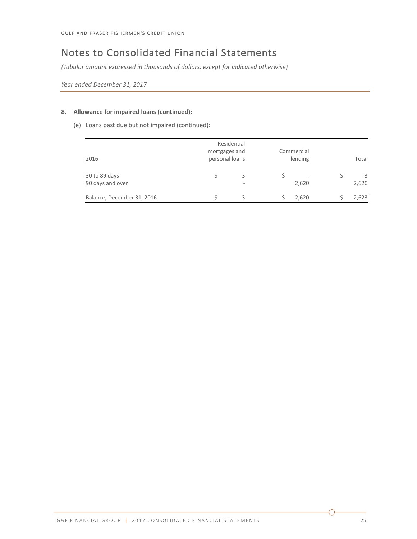*(Tabular amount expressed in thousands of dollars, except for indicated otherwise)*

*Year ended December 31, 2017*

### **8. Allowance for impaired loans (continued):**

(e) Loans past due but not impaired (continued):

| 2016                              | Residential<br>mortgages and<br>personal loans |        | Commercial<br>lending | Total      |
|-----------------------------------|------------------------------------------------|--------|-----------------------|------------|
| 30 to 89 days<br>90 days and over |                                                | 3<br>- | $\sim$<br>2,620       | 3<br>2,620 |
| Balance, December 31, 2016        |                                                |        | 2,620                 | 2,623      |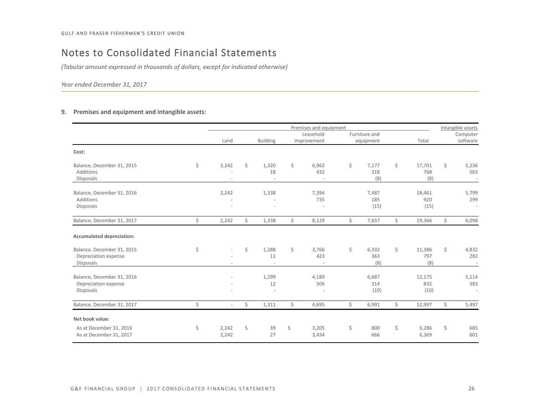*(Tabular amount expressed in thousands of dollars, except for indicated otherwise)*

*Year ended December 31, 2017*

#### **9. Premises and equipment and intangible assets:**

|                                                                 |    |                                   |    |                       | Premises and equipment       |    |                      |                            |    | Intangible assets      |
|-----------------------------------------------------------------|----|-----------------------------------|----|-----------------------|------------------------------|----|----------------------|----------------------------|----|------------------------|
|                                                                 |    |                                   |    |                       | Leasehold                    |    | Furniture and        |                            |    | Computer               |
|                                                                 |    | Land                              |    | <b>Building</b>       | improvement                  |    | equipment            | Total                      |    | software               |
| Cost:                                                           |    |                                   |    |                       |                              |    |                      |                            |    |                        |
| Balance, December 31, 2015<br>Additions<br><b>Disposals</b>     | \$ | 2,242<br>$\overline{\phantom{a}}$ | \$ | 1,320<br>18<br>$\sim$ | \$<br>6,962<br>432<br>$\sim$ | \$ | 7,177<br>318<br>(8)  | \$<br>17,701<br>768<br>(8) | \$ | 5,236<br>563<br>$\sim$ |
| Balance, December 31, 2016<br>Additions<br>Disposals            |    | 2,242                             |    | 1,338                 | 7,394<br>735                 |    | 7,487<br>185<br>(15) | 18,461<br>920<br>(15)      |    | 5,799<br>299           |
| Balance, December 31, 2017                                      | \$ | 2,242                             | \$ | 1,338                 | \$<br>8,129                  | \$ | 7,657                | \$<br>19,366               | \$ | 6,098                  |
| <b>Accumulated depreciation:</b>                                |    |                                   |    |                       |                              |    |                      |                            |    |                        |
| Balance, December 31, 2015<br>Depreciation expense<br>Disposals | \$ |                                   | \$ | 1,288<br>11<br>$\sim$ | \$<br>3,766<br>423<br>$\sim$ | \$ | 6,332<br>363<br>(8)  | \$<br>11,386<br>797<br>(8) | \$ | 4,832<br>282           |
| Balance, December 31, 2016<br>Depreciation expense<br>Disposals |    |                                   |    | 1,299<br>12           | 4,189<br>506                 |    | 6,687<br>314<br>(10) | 12,175<br>832<br>(10)      |    | 5,114<br>383           |
| Balance, December 31, 2017                                      | Ś. | $\sim$                            | Ś. | 1,311                 | \$<br>4,695                  | Ś. | 6,991                | \$<br>12,997               | Ś. | 5,497                  |
| Net book value:                                                 |    |                                   |    |                       |                              |    |                      |                            |    |                        |
| As at December 31, 2016<br>As at December 31, 2017              | \$ | 2,242<br>2,242                    | \$ | 39<br>27              | \$<br>3,205<br>3,434         | \$ | 800<br>666           | \$<br>6,286<br>6,369       | \$ | 685<br>601             |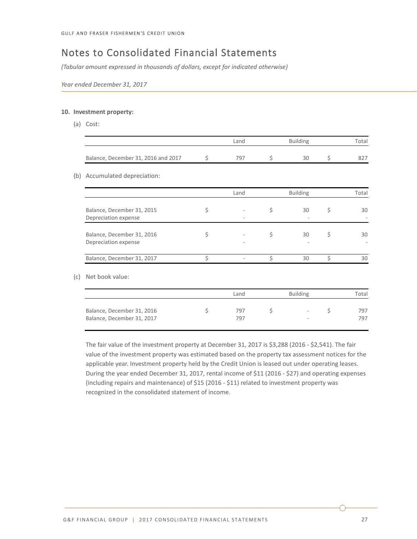*(Tabular amount expressed in thousands of dollars, except for indicated otherwise)*

*Year ended December 31, 2017*

### **10. Investment property:**

(a) Cost:

 $(c)$ 

|                                     | Land | <b>Building</b> |  | Total |
|-------------------------------------|------|-----------------|--|-------|
| Balance, December 31, 2016 and 2017 | 797  | 30              |  |       |
| (b) Accumulated depreciation:       |      |                 |  |       |

|                                                          | Land             |    | <b>Building</b>                | Total            |
|----------------------------------------------------------|------------------|----|--------------------------------|------------------|
| Balance, December 31, 2015<br>Depreciation expense       | \$               | \$ | 30                             | \$<br>30         |
| Balance, December 31, 2016<br>Depreciation expense       | \$<br>۰          | \$ | 30<br>$\overline{\phantom{a}}$ | \$<br>30         |
| Balance, December 31, 2017                               | \$               | \$ | 30                             | \$<br>30         |
| Net book value:                                          |                  |    |                                |                  |
|                                                          | Land             |    | <b>Building</b>                | Total            |
| Balance, December 31, 2016<br>Balance, December 31, 2017 | \$<br>797<br>797 | \$ |                                | \$<br>797<br>797 |

The fair value of the investment property at December 31, 2017 is \$3,288 (2016 - \$2,541). The fair value of the investment property was estimated based on the property tax assessment notices for the applicable year. Investment property held by the Credit Union is leased out under operating leases. During the year ended December 31, 2017, rental income of \$11 (2016 - \$27) and operating expenses (including repairs and maintenance) of \$15 (2016 - \$11) related to investment property was recognized in the consolidated statement of income.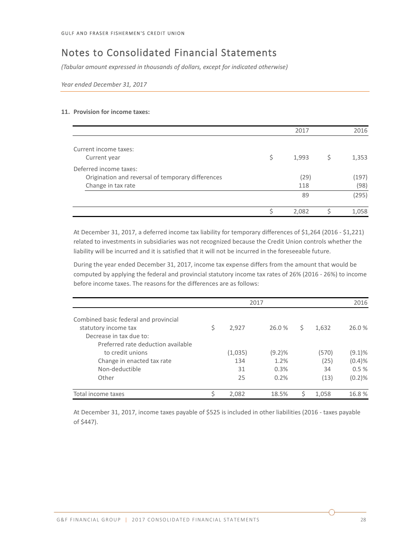*(Tabular amount expressed in thousands of dollars, except for indicated otherwise)*

*Year ended December 31, 2017*

### **11. Provision for income taxes:**

|                                                   | 2017        | 2016  |
|---------------------------------------------------|-------------|-------|
|                                                   |             |       |
| Current income taxes:                             |             |       |
| Current year                                      | \$<br>1,993 | 1,353 |
| Deferred income taxes:                            |             |       |
| Origination and reversal of temporary differences | (29)        | (197) |
| Change in tax rate                                | 118         | (98)  |
|                                                   | 89          | (295) |
|                                                   |             |       |
|                                                   | 2,082       | 1,058 |

At December 31, 2017, a deferred income tax liability for temporary differences of \$1,264 (2016 - \$1,221) related to investments in subsidiaries was not recognized because the Credit Union controls whether the liability will be incurred and it is satisfied that it will not be incurred in the foreseeable future.

During the year ended December 31, 2017, income tax expense differs from the amount that would be computed by applying the federal and provincial statutory income tax rates of 26% (2016 - 26%) to income before income taxes. The reasons for the differences are as follows:

|                                                               |    | 2017    |        | 2016 |       |        |
|---------------------------------------------------------------|----|---------|--------|------|-------|--------|
| Combined basic federal and provincial<br>statutory income tax | \$ | 2.927   | 26.0 % | Ś    | 1.632 | 26.0 % |
| Decrease in tax due to:                                       |    |         |        |      |       |        |
| Preferred rate deduction available                            |    |         |        |      |       |        |
| to credit unions                                              |    | (1,035) | (9.2)% |      | (570) | (9.1)% |
| Change in enacted tax rate                                    |    | 134     | 1.2%   |      | (25)  | (0.4)% |
| Non-deductible                                                |    | 31      | 0.3%   |      | 34    | 0.5%   |
| Other                                                         |    | 25      | 0.2%   |      | (13)  | (0.2)% |
| Total income taxes                                            | Ś  | 2,082   | 18.5%  | \$   | 1.058 | 16.8%  |

At December 31, 2017, income taxes payable of \$525 is included in other liabilities (2016 - taxes payable of \$447).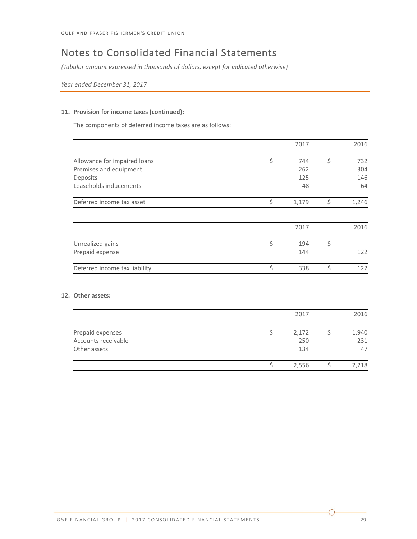*(Tabular amount expressed in thousands of dollars, except for indicated otherwise)*

*Year ended December 31, 2017*

### **11. Provision for income taxes (continued):**

The components of deferred income taxes are as follows:

| 2016  |
|-------|
| 732   |
| 304   |
| 146   |
| 64    |
| 1,246 |
|       |
| 2016  |
|       |
| 122   |
| 122   |
| \$    |
|       |

### **12. Other assets:**

|                                                         | 2017                | 2016               |
|---------------------------------------------------------|---------------------|--------------------|
| Prepaid expenses<br>Accounts receivable<br>Other assets | 2,172<br>250<br>134 | 1,940<br>231<br>47 |
|                                                         | 2,556               | 2,218              |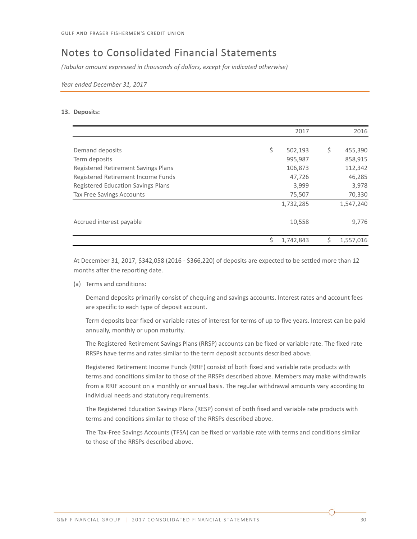*(Tabular amount expressed in thousands of dollars, except for indicated otherwise)*

*Year ended December 31, 2017*

### **13. Deposits:**

|                                           |    | 2017      |    | 2016      |
|-------------------------------------------|----|-----------|----|-----------|
|                                           |    |           |    |           |
| Demand deposits                           | \$ | 502,193   | \$ | 455,390   |
| Term deposits                             |    | 995,987   |    | 858,915   |
| Registered Retirement Savings Plans       |    | 106,873   |    | 112,342   |
| Registered Retirement Income Funds        |    | 47,726    |    | 46,285    |
| <b>Registered Education Savings Plans</b> |    | 3,999     |    | 3,978     |
| Tax Free Savings Accounts                 |    | 75,507    |    | 70,330    |
|                                           |    | 1,732,285 |    | 1,547,240 |
| Accrued interest payable                  |    | 10,558    |    | 9,776     |
|                                           | ς  | 1,742,843 | ς  | 1,557,016 |

At December 31, 2017, \$342,058 (2016 - \$366,220) of deposits are expected to be settled more than 12 months after the reporting date.

(a) Terms and conditions:

Demand deposits primarily consist of chequing and savings accounts. Interest rates and account fees are specific to each type of deposit account.

Term deposits bear fixed or variable rates of interest for terms of up to five years. Interest can be paid annually, monthly or upon maturity.

The Registered Retirement Savings Plans (RRSP) accounts can be fixed or variable rate. The fixed rate RRSPs have terms and rates similar to the term deposit accounts described above.

Registered Retirement Income Funds (RRIF) consist of both fixed and variable rate products with terms and conditions similar to those of the RRSPs described above. Members may make withdrawals from a RRIF account on a monthly or annual basis. The regular withdrawal amounts vary according to individual needs and statutory requirements.

The Registered Education Savings Plans (RESP) consist of both fixed and variable rate products with terms and conditions similar to those of the RRSPs described above.

The Tax-Free Savings Accounts (TFSA) can be fixed or variable rate with terms and conditions similar to those of the RRSPs described above.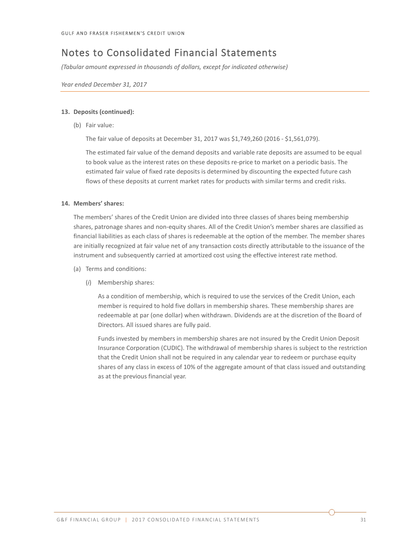*(Tabular amount expressed in thousands of dollars, except for indicated otherwise)*

*Year ended December 31, 2017*

#### **13. Deposits (continued):**

(b) Fair value:

The fair value of deposits at December 31, 2017 was \$1,749,260 (2016 - \$1,561,079).

The estimated fair value of the demand deposits and variable rate deposits are assumed to be equal to book value as the interest rates on these deposits re-price to market on a periodic basis. The estimated fair value of fixed rate deposits is determined by discounting the expected future cash flows of these deposits at current market rates for products with similar terms and credit risks.

#### **14. Members' shares:**

The members' shares of the Credit Union are divided into three classes of shares being membership shares, patronage shares and non-equity shares. All of the Credit Union's member shares are classified as financial liabilities as each class of shares is redeemable at the option of the member. The member shares are initially recognized at fair value net of any transaction costs directly attributable to the issuance of the instrument and subsequently carried at amortized cost using the effective interest rate method.

- (a) Terms and conditions:
	- (*i*) Membership shares:

As a condition of membership, which is required to use the services of the Credit Union, each member is required to hold five dollars in membership shares. These membership shares are redeemable at par (one dollar) when withdrawn. Dividends are at the discretion of the Board of Directors. All issued shares are fully paid.

Funds invested by members in membership shares are not insured by the Credit Union Deposit Insurance Corporation (CUDIC). The withdrawal of membership shares is subject to the restriction that the Credit Union shall not be required in any calendar year to redeem or purchase equity shares of any class in excess of 10% of the aggregate amount of that class issued and outstanding as at the previous financial year.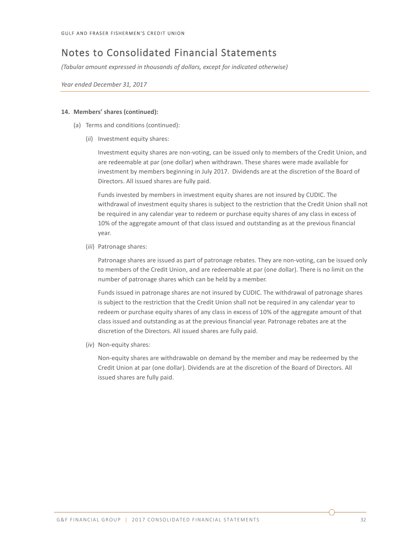*(Tabular amount expressed in thousands of dollars, except for indicated otherwise)*

*Year ended December 31, 2017*

### **14. Members' shares (continued):**

- (a) Terms and conditions (continued):
	- (*ii*) Investment equity shares:

Investment equity shares are non-voting, can be issued only to members of the Credit Union, and are redeemable at par (one dollar) when withdrawn. These shares were made available for investment by members beginning in July 2017. Dividends are at the discretion of the Board of Directors. All issued shares are fully paid.

Funds invested by members in investment equity shares are not insured by CUDIC. The withdrawal of investment equity shares is subject to the restriction that the Credit Union shall not be required in any calendar year to redeem or purchase equity shares of any class in excess of 10% of the aggregate amount of that class issued and outstanding as at the previous financial year.

(*iii*) Patronage shares:

Patronage shares are issued as part of patronage rebates. They are non-voting, can be issued only to members of the Credit Union, and are redeemable at par (one dollar). There is no limit on the number of patronage shares which can be held by a member.

Funds issued in patronage shares are not insured by CUDIC. The withdrawal of patronage shares is subject to the restriction that the Credit Union shall not be required in any calendar year to redeem or purchase equity shares of any class in excess of 10% of the aggregate amount of that class issued and outstanding as at the previous financial year. Patronage rebates are at the discretion of the Directors. All issued shares are fully paid.

(*iv*) Non-equity shares*:*

Non-equity shares are withdrawable on demand by the member and may be redeemed by the Credit Union at par (one dollar). Dividends are at the discretion of the Board of Directors. All issued shares are fully paid.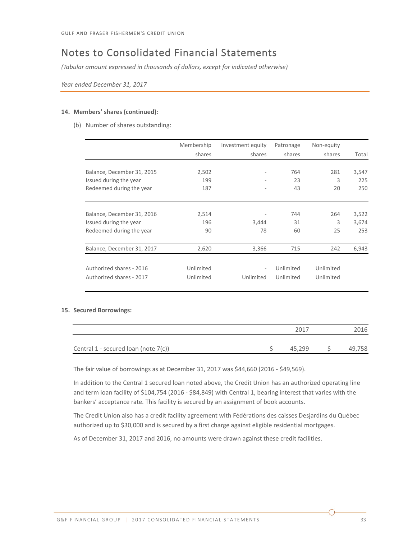*(Tabular amount expressed in thousands of dollars, except for indicated otherwise)*

*Year ended December 31, 2017*

### **14. Members' shares (continued):**

(b) Number of shares outstanding:

|                            | Membership | Investment equity        | Patronage | Non-equity |       |
|----------------------------|------------|--------------------------|-----------|------------|-------|
|                            | shares     | shares                   | shares    | shares     | Total |
|                            |            |                          |           |            |       |
| Balance, December 31, 2015 | 2,502      | -                        | 764       | 281        | 3,547 |
| Issued during the year     | 199        | $\overline{\phantom{a}}$ | 23        | 3          | 225   |
| Redeemed during the year   | 187        | $\overline{\phantom{a}}$ | 43        | 20         | 250   |
|                            |            |                          |           |            |       |
| Balance, December 31, 2016 | 2,514      |                          | 744       | 264        | 3,522 |
| Issued during the year     | 196        | 3,444                    | 31        | 3          | 3,674 |
| Redeemed during the year   | 90         | 78                       | 60        | 25         | 253   |
| Balance, December 31, 2017 | 2,620      | 3,366                    | 715       | 242        | 6,943 |
|                            |            |                          |           |            |       |
| Authorized shares - 2016   | Unlimited  | $\overline{\phantom{a}}$ | Unlimited | Unlimited  |       |
| Authorized shares - 2017   | Unlimited  | Unlimited                | Unlimited | Unlimited  |       |

#### **15. Secured Borrowings:**

|                                      | 2017   | 2016   |  |  |
|--------------------------------------|--------|--------|--|--|
|                                      |        |        |  |  |
| Central 1 - secured loan (note 7(c)) | 45.299 | 49,758 |  |  |

The fair value of borrowings as at December 31, 2017 was \$44,660 (2016 - \$49,569).

In addition to the Central 1 secured loan noted above, the Credit Union has an authorized operating line and term loan facility of \$104,754 (2016 - \$84,849) with Central 1, bearing interest that varies with the bankers' acceptance rate. This facility is secured by an assignment of book accounts.

The Credit Union also has a credit facility agreement with Fédérations des caisses Desjardins du Québec authorized up to \$30,000 and is secured by a first charge against eligible residential mortgages.

As of December 31, 2017 and 2016, no amounts were drawn against these credit facilities.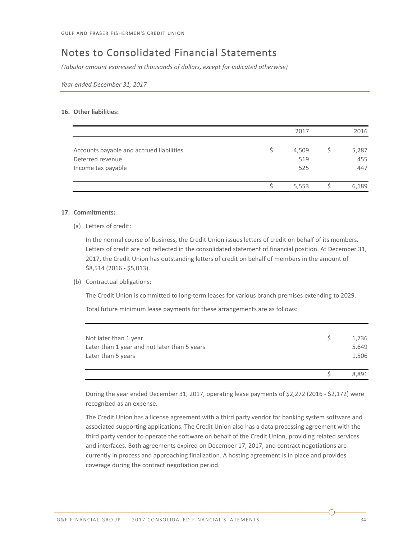*(Tabular amount expressed in thousands of dollars, except for indicated otherwise)*

*Year ended December 31, 2017*

### **16. Other liabilities:**

|                                          | 2017  | 2016  |
|------------------------------------------|-------|-------|
|                                          |       |       |
| Accounts payable and accrued liabilities | 4,509 | 5,287 |
| Deferred revenue                         | 519   | 455   |
| Income tax payable                       | 525   | 447   |
|                                          |       |       |
|                                          | 5.553 | 6.189 |

### **17. Commitments:**

(a) Letters of credit:

In the normal course of business, the Credit Union issues letters of credit on behalf of its members. Letters of credit are not reflected in the consolidated statement of financial position. At December 31, 2017, the Credit Union has outstanding letters of credit on behalf of members in the amount of \$8,514 (2016 - \$5,013).

(b) Contractual obligations:

The Credit Union is committed to long-term leases for various branch premises extending to 2029.

Total future minimum lease payments for these arrangements are as follows:

| Not later than 1 year<br>Later than 1 year and not later than 5 years<br>Later than 5 years | 1,736<br>5,649<br>1,506 |
|---------------------------------------------------------------------------------------------|-------------------------|
|                                                                                             | 8.891                   |

During the year ended December 31, 2017, operating lease payments of \$2,272 (2016 - \$2,172) were recognized as an expense.

The Credit Union has a license agreement with a third party vendor for banking system software and associated supporting applications. The Credit Union also has a data processing agreement with the third party vendor to operate the software on behalf of the Credit Union, providing related services and interfaces. Both agreements expired on December 17, 2017, and contract negotiations are currently in process and approaching finalization. A hosting agreement is in place and provides coverage during the contract negotiation period.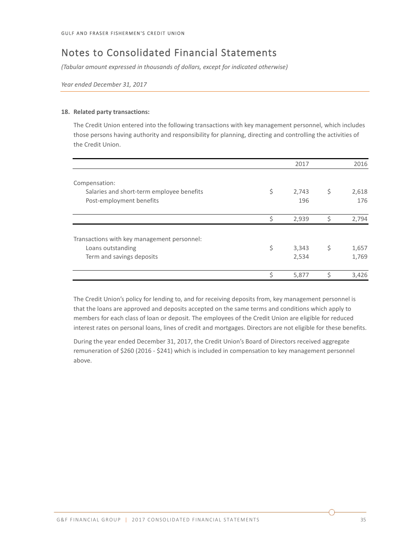*(Tabular amount expressed in thousands of dollars, except for indicated otherwise)*

*Year ended December 31, 2017*

### **18. Related party transactions:**

The Credit Union entered into the following transactions with key management personnel, which includes those persons having authority and responsibility for planning, directing and controlling the activities of the Credit Union.

|                                             | 2017        |    | 2016  |
|---------------------------------------------|-------------|----|-------|
| Compensation:                               |             |    |       |
| Salaries and short-term employee benefits   | \$<br>2,743 | \$ | 2,618 |
| Post-employment benefits                    | 196         |    | 176   |
|                                             | \$<br>2,939 | Ś  | 2,794 |
| Transactions with key management personnel: |             |    |       |
| Loans outstanding                           | \$<br>3,343 | \$ | 1,657 |
| Term and savings deposits                   | 2,534       |    | 1,769 |
|                                             | \$<br>5,877 | Ś  | 3,426 |

The Credit Union's policy for lending to, and for receiving deposits from, key management personnel is that the loans are approved and deposits accepted on the same terms and conditions which apply to members for each class of loan or deposit. The employees of the Credit Union are eligible for reduced interest rates on personal loans, lines of credit and mortgages. Directors are not eligible for these benefits.

During the year ended December 31, 2017, the Credit Union's Board of Directors received aggregate remuneration of \$260 (2016 - \$241) which is included in compensation to key management personnel above.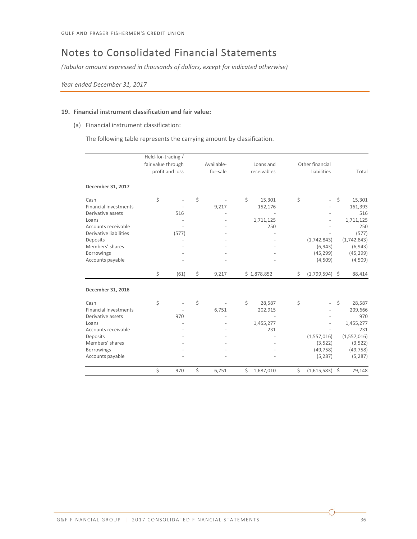*(Tabular amount expressed in thousands of dollars, except for indicated otherwise)*

*Year ended December 31, 2017*

#### **19. Financial instrument classification and fair value:**

(a) Financial instrument classification:

The following table represents the carrying amount by classification.

|                              | Held-for-trading /<br>fair value through |                 |    | Available- |    | Loans and   |    | Other financial          |    |             |
|------------------------------|------------------------------------------|-----------------|----|------------|----|-------------|----|--------------------------|----|-------------|
|                              |                                          | profit and loss |    | for-sale   |    | receivables |    | liabilities              |    | Total       |
|                              |                                          |                 |    |            |    |             |    |                          |    |             |
| December 31, 2017            |                                          |                 |    |            |    |             |    |                          |    |             |
| Cash                         | \$                                       |                 | \$ |            | \$ | 15,301      | \$ | $\overline{\phantom{0}}$ | \$ | 15,301      |
| <b>Financial investments</b> |                                          |                 |    | 9,217      |    | 152,176     |    |                          |    | 161,393     |
| Derivative assets            |                                          | 516             |    |            |    |             |    |                          |    | 516         |
| Loans                        |                                          |                 |    |            |    | 1,711,125   |    |                          |    | 1,711,125   |
| Accounts receivable          |                                          |                 |    |            |    | 250         |    |                          |    | 250         |
| Derivative liabilities       |                                          | (577)           |    |            |    |             |    |                          |    | (577)       |
| Deposits                     |                                          |                 |    |            |    |             |    | (1,742,843)              |    | (1,742,843) |
| Members' shares              |                                          |                 |    |            |    |             |    | (6,943)                  |    | (6,943)     |
| <b>Borrowings</b>            |                                          |                 |    |            |    |             |    | (45, 299)                |    | (45, 299)   |
| Accounts payable             |                                          |                 |    |            |    |             |    | (4,509)                  |    | (4,509)     |
|                              | Ś                                        | (61)            | Ś  | 9,217      |    | \$1,878,852 | Ś. | (1,799,594)              | S. | 88,414      |
| December 31, 2016            |                                          |                 |    |            |    |             |    |                          |    |             |
| Cash                         | \$                                       |                 | \$ |            | \$ | 28,587      | \$ | $\overline{\phantom{0}}$ | \$ | 28,587      |
| <b>Financial investments</b> |                                          |                 |    | 6,751      |    | 202,915     |    |                          |    | 209,666     |
| Derivative assets            |                                          | 970             |    |            |    |             |    |                          |    | 970         |
| Loans                        |                                          |                 |    |            |    | 1,455,277   |    |                          |    | 1,455,277   |
| Accounts receivable          |                                          |                 |    |            |    | 231         |    |                          |    | 231         |
| Deposits                     |                                          |                 |    |            |    |             |    | (1,557,016)              |    | (1,557,016) |
| Members' shares              |                                          |                 |    |            |    |             |    | (3,522)                  |    | (3,522)     |
| <b>Borrowings</b>            |                                          |                 |    |            |    |             |    | (49, 758)                |    | (49, 758)   |
| Accounts payable             |                                          |                 |    |            |    |             |    | (5, 287)                 |    | (5, 287)    |
|                              | Ś                                        | 970             | Ś  | 6,751      | Ś  | 1,687,010   | \$ | (1,615,583)              | Ś  | 79,148      |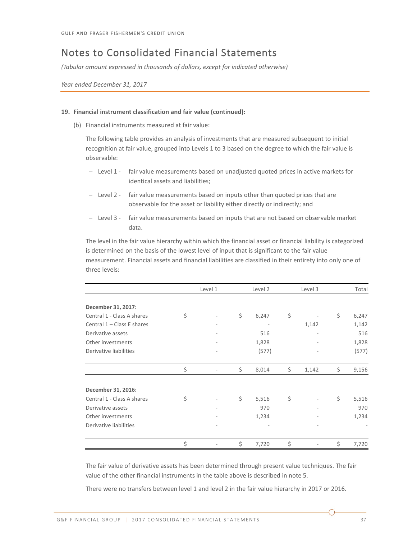*(Tabular amount expressed in thousands of dollars, except for indicated otherwise)*

*Year ended December 31, 2017*

### **19. Financial instrument classification and fair value (continued):**

(b) Financial instruments measured at fair value:

The following table provides an analysis of investments that are measured subsequent to initial recognition at fair value, grouped into Levels 1 to 3 based on the degree to which the fair value is observable:

- − Level 1 fair value measurements based on unadjusted quoted prices in active markets for identical assets and liabilities;
- − Level 2 fair value measurements based on inputs other than quoted prices that are observable for the asset or liability either directly or indirectly; and
- − Level 3 fair value measurements based on inputs that are not based on observable market data.

The level in the fair value hierarchy within which the financial asset or financial liability is categorized is determined on the basis of the lowest level of input that is significant to the fair value measurement. Financial assets and financial liabilities are classified in their entirety into only one of three levels:

|                            | Level 1 | Level 2                  | Level 3     | Total       |
|----------------------------|---------|--------------------------|-------------|-------------|
| December 31, 2017:         |         |                          |             |             |
| Central 1 - Class A shares | \$      | \$<br>6,247              | \$          | \$<br>6,247 |
| Central 1 - Class E shares |         |                          | 1,142       | 1,142       |
| Derivative assets          |         | 516                      |             | 516         |
| Other investments          |         | 1,828                    |             | 1,828       |
| Derivative liabilities     |         | (577)                    |             | (577)       |
|                            | \$      | \$<br>8,014              | \$<br>1,142 | \$<br>9,156 |
| December 31, 2016:         |         |                          |             |             |
| Central 1 - Class A shares | \$      | \$<br>5,516              | \$          | \$<br>5,516 |
| Derivative assets          |         | 970                      |             | 970         |
| Other investments          |         | 1,234                    |             | 1,234       |
| Derivative liabilities     |         | $\overline{\phantom{a}}$ |             |             |
|                            | \$      | \$<br>7,720              | \$          | \$<br>7,720 |

The fair value of derivative assets has been determined through present value techniques. The fair value of the other financial instruments in the table above is described in note 5.

There were no transfers between level 1 and level 2 in the fair value hierarchy in 2017 or 2016.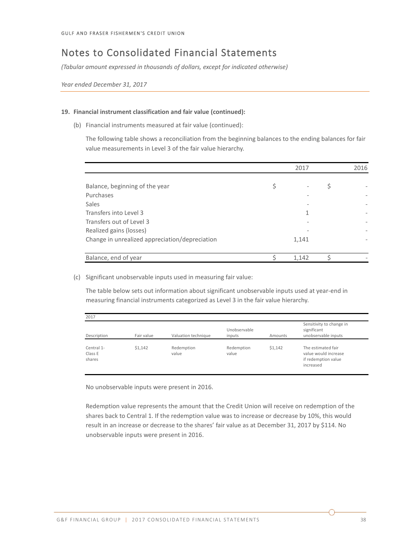*(Tabular amount expressed in thousands of dollars, except for indicated otherwise)*

*Year ended December 31, 2017*

### **19. Financial instrument classification and fair value (continued):**

(b) Financial instruments measured at fair value (continued):

The following table shows a reconciliation from the beginning balances to the ending balances for fair value measurements in Level 3 of the fair value hierarchy.

|                                                |   | 2017  | 2016 |
|------------------------------------------------|---|-------|------|
|                                                |   |       |      |
| Balance, beginning of the year                 | Ś |       | \$   |
| Purchases                                      |   |       |      |
| Sales                                          |   |       |      |
| Transfers into Level 3                         |   | 1     |      |
| Transfers out of Level 3                       |   |       |      |
| Realized gains (losses)                        |   |       |      |
| Change in unrealized appreciation/depreciation |   | 1,141 |      |
| Balance, end of year                           |   | 1,142 |      |

### (c) Significant unobservable inputs used in measuring fair value:

The table below sets out information about significant unobservable inputs used at year-end in measuring financial instruments categorized as Level 3 in the fair value hierarchy.

| 2017                            |            |                     |                        |         |                                                                                |  |  |  |  |  |  |
|---------------------------------|------------|---------------------|------------------------|---------|--------------------------------------------------------------------------------|--|--|--|--|--|--|
| Description                     | Fair value | Valuation technique | Unobservable<br>inputs | Amounts | Sensitivity to change in<br>significant<br>unobservable inputs                 |  |  |  |  |  |  |
| Central 1-<br>Class E<br>shares | \$1.142    | Redemption<br>value | Redemption<br>value    | \$1.142 | The estimated fair<br>value would increase<br>if redemption value<br>increased |  |  |  |  |  |  |

No unobservable inputs were present in 2016.

Redemption value represents the amount that the Credit Union will receive on redemption of the shares back to Central 1. If the redemption value was to increase or decrease by 10%, this would result in an increase or decrease to the shares' fair value as at December 31, 2017 by \$114. No unobservable inputs were present in 2016.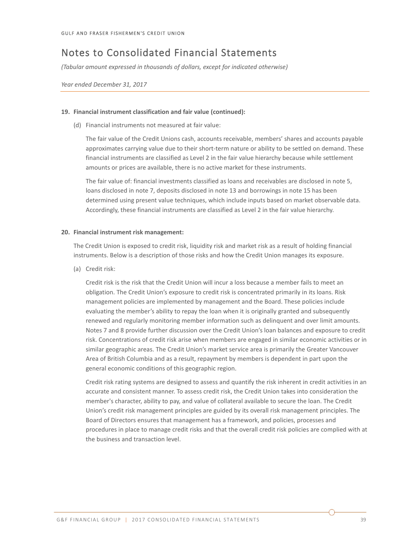*(Tabular amount expressed in thousands of dollars, except for indicated otherwise)*

#### *Year ended December 31, 2017*

### **19. Financial instrument classification and fair value (continued):**

(d) Financial instruments not measured at fair value:

The fair value of the Credit Unions cash, accounts receivable, members' shares and accounts payable approximates carrying value due to their short-term nature or ability to be settled on demand. These financial instruments are classified as Level 2 in the fair value hierarchy because while settlement amounts or prices are available, there is no active market for these instruments.

The fair value of: financial investments classified as loans and receivables are disclosed in note 5, loans disclosed in note 7, deposits disclosed in note 13 and borrowings in note 15 has been determined using present value techniques, which include inputs based on market observable data. Accordingly, these financial instruments are classified as Level 2 in the fair value hierarchy.

#### **20. Financial instrument risk management:**

The Credit Union is exposed to credit risk, liquidity risk and market risk as a result of holding financial instruments. Below is a description of those risks and how the Credit Union manages its exposure.

(a) Credit risk:

Credit risk is the risk that the Credit Union will incur a loss because a member fails to meet an obligation. The Credit Union's exposure to credit risk is concentrated primarily in its loans. Risk management policies are implemented by management and the Board. These policies include evaluating the member's ability to repay the loan when it is originally granted and subsequently renewed and regularly monitoring member information such as delinquent and over limit amounts. Notes 7 and 8 provide further discussion over the Credit Union's loan balances and exposure to credit risk. Concentrations of credit risk arise when members are engaged in similar economic activities or in similar geographic areas. The Credit Union's market service area is primarily the Greater Vancouver Area of British Columbia and as a result, repayment by members is dependent in part upon the general economic conditions of this geographic region.

Credit risk rating systems are designed to assess and quantify the risk inherent in credit activities in an accurate and consistent manner. To assess credit risk, the Credit Union takes into consideration the member's character, ability to pay, and value of collateral available to secure the loan. The Credit Union's credit risk management principles are guided by its overall risk management principles. The Board of Directors ensures that management has a framework, and policies, processes and procedures in place to manage credit risks and that the overall credit risk policies are complied with at the business and transaction level.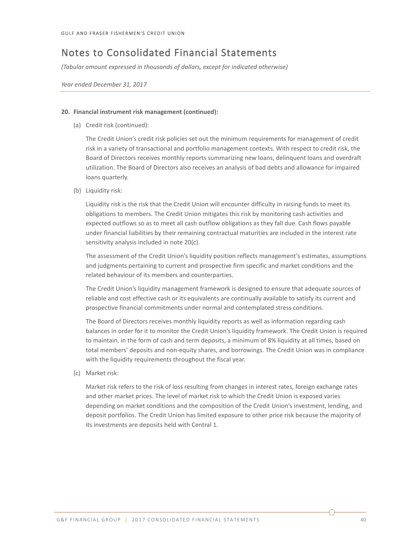*(Tabular amount expressed in thousands of dollars, except for indicated otherwise)*

#### *Year ended December 31, 2017*

#### **20. Financial instrument risk management (continued):**

(a) Credit risk (continued):

The Credit Union's credit risk policies set out the minimum requirements for management of credit risk in a variety of transactional and portfolio management contexts. With respect to credit risk, the Board of Directors receives monthly reports summarizing new loans, delinquent loans and overdraft utilization. The Board of Directors also receives an analysis of bad debts and allowance for impaired loans quarterly.

(b) Liquidity risk:

Liquidity risk is the risk that the Credit Union will encounter difficulty in raising funds to meet its obligations to members. The Credit Union mitigates this risk by monitoring cash activities and expected outflows so as to meet all cash outflow obligations as they fall due. Cash flows payable under financial liabilities by their remaining contractual maturities are included in the interest rate sensitivity analysis included in note 20(c).

The assessment of the Credit Union's liquidity position reflects management's estimates, assumptions and judgments pertaining to current and prospective firm specific and market conditions and the related behaviour of its members and counterparties.

The Credit Union's liquidity management framework is designed to ensure that adequate sources of reliable and cost effective cash or its equivalents are continually available to satisfy its current and prospective financial commitments under normal and contemplated stress conditions.

The Board of Directors receives monthly liquidity reports as well as information regarding cash balances in order for it to monitor the Credit Union's liquidity framework. The Credit Union is required to maintain, in the form of cash and term deposits, a minimum of 8% liquidity at all times, based on total members' deposits and non-equity shares, and borrowings. The Credit Union was in compliance with the liquidity requirements throughout the fiscal year.

(c) Market risk:

Market risk refers to the risk of loss resulting from changes in interest rates, foreign exchange rates and other market prices. The level of market risk to which the Credit Union is exposed varies depending on market conditions and the composition of the Credit Union's investment, lending, and deposit portfolios. The Credit Union has limited exposure to other price risk because the majority of its investments are deposits held with Central 1.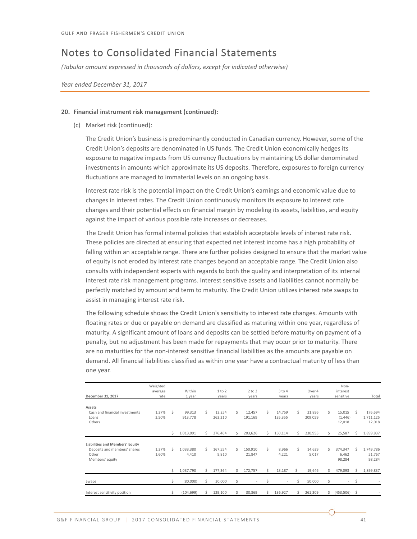*(Tabular amount expressed in thousands of dollars, except for indicated otherwise)*

#### *Year ended December 31, 2017*

#### **20. Financial instrument risk management (continued):**

(c) Market risk (continued):

The Credit Union's business is predominantly conducted in Canadian currency. However, some of the Credit Union's deposits are denominated in US funds. The Credit Union economically hedges its exposure to negative impacts from US currency fluctuations by maintaining US dollar denominated investments in amounts which approximate its US deposits. Therefore, exposures to foreign currency fluctuations are managed to immaterial levels on an ongoing basis.

Interest rate risk is the potential impact on the Credit Union's earnings and economic value due to changes in interest rates. The Credit Union continuously monitors its exposure to interest rate changes and their potential effects on financial margin by modeling its assets, liabilities, and equity against the impact of various possible rate increases or decreases.

The Credit Union has formal internal policies that establish acceptable levels of interest rate risk. These policies are directed at ensuring that expected net interest income has a high probability of falling within an acceptable range. There are further policies designed to ensure that the market value of equity is not eroded by interest rate changes beyond an acceptable range. The Credit Union also consults with independent experts with regards to both the quality and interpretation of its internal interest rate risk management programs. Interest sensitive assets and liabilities cannot normally be perfectly matched by amount and term to maturity. The Credit Union utilizes interest rate swaps to assist in managing interest rate risk.

The following schedule shows the Credit Union's sensitivity to interest rate changes. Amounts with floating rates or due or payable on demand are classified as maturing within one year, regardless of maturity. A significant amount of loans and deposits can be settled before maturity on payment of a penalty, but no adjustment has been made for repayments that may occur prior to maturity. There are no maturities for the non-interest sensitive financial liabilities as the amounts are payable on demand. All financial liabilities classified as within one year have a contractual maturity of less than one year.

| December 31, 2017                                                                           | Weighted<br>average<br>rate |   | Within<br>1 year   |    | 1 to 2<br>years   |    | $2$ to $3$<br>years |    | $3$ to $4$<br>years |    | Over 4<br>years   |    | Non-<br>interest<br>sensitive |    | Total                          |
|---------------------------------------------------------------------------------------------|-----------------------------|---|--------------------|----|-------------------|----|---------------------|----|---------------------|----|-------------------|----|-------------------------------|----|--------------------------------|
| Assets<br>Cash and financial investments<br>Loans<br>Others                                 | 1.37%<br>3.50%              | Ś | 99,313<br>913,778  | Ś  | 13,254<br>263,210 | Ś. | 12,457<br>191,169   | Ś. | 14,759<br>135,355   | Ś. | 21,896<br>209,059 | Ś  | 15,015<br>(1, 446)<br>12,018  | Ŝ. | 176,694<br>1,711,125<br>12,018 |
|                                                                                             |                             |   | 1,013,091          | Ś  | 276,464           | Ś  | 203,626             | Ś  | 150,114             | Ś  | 230,955           | Ś  | 25,587                        | Ś  | 1,899,837                      |
| Liabilities and Members' Equity<br>Deposits and members' shares<br>Other<br>Members' equity | 1.37%<br>1.60%              | Ś | 1,033,380<br>4,410 | Ś  | 167,554<br>9,810  | Ś. | 150,910<br>21,847   | Ś. | 8,966<br>4,221      | Ś. | 14,629<br>5,017   | Ś  | 374,347<br>6,462<br>98,284    | Ś  | 1,749,786<br>51,767<br>98,284  |
|                                                                                             |                             |   | 1,037,790          | Ś  | 177,364           | Ś  | 172,757             | Ś  | 13,187              | S  | 19,646            | Ś  | 479,093                       | Ś  | 1,899,837                      |
| Swaps                                                                                       |                             | Ś | (80,000)           | \$ | 30,000            | \$ |                     | \$ |                     |    | 50,000            | \$ | $\sim$                        | \$ |                                |
| Interest sensitivity position                                                               |                             | Ś | (104, 699)         | Ś  | 129,100           | Ś  | 30,869              | Ś. | 136,927             | Ś  | 261,309           | Ś  | (453, 506)                    | Ŝ. |                                |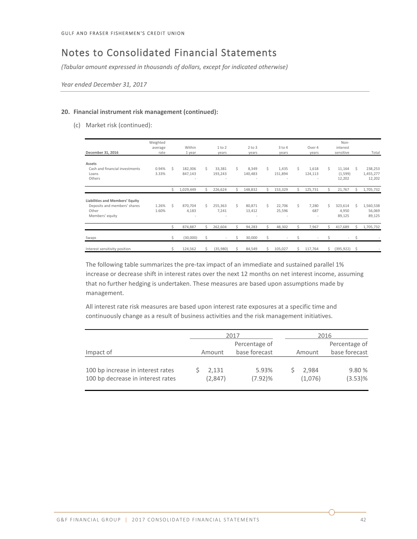*(Tabular amount expressed in thousands of dollars, except for indicated otherwise)*

*Year ended December 31, 2017*

### **20. Financial instrument risk management (continued):**

(c) Market risk (continued):

| December 31, 2016                                                                           | Weighted<br>average<br>rate |         | Within<br>1 year                   |              | $1$ to $2$<br>years                |              | $2$ to $3$<br>years |    | $3$ to $4$<br>years |    | Over 4<br>years  |   | Non-<br>interest<br>sensitive |    | Total                          |
|---------------------------------------------------------------------------------------------|-----------------------------|---------|------------------------------------|--------------|------------------------------------|--------------|---------------------|----|---------------------|----|------------------|---|-------------------------------|----|--------------------------------|
| Assets<br>Cash and financial investments<br>Loans<br>Others                                 | 0.94%<br>3.33%              | Ś       | 182,306<br>847,143                 | Ś.           | 33,381<br>193,243                  | Ś            | 8,349<br>140,483    | Ś. | 1.435<br>151,894    | Ś. | 1,618<br>124,113 | Ś | 11,164<br>(1, 599)<br>12,202  | Ś  | 238,253<br>1,455,277<br>12,202 |
|                                                                                             |                             | Ś       | 1,029,449                          | Ś            | 226,624                            | Ś            | 148,832             | ς  | 153,329             | Ś  | 125,731          |   | 21,767                        | Ś  | 1,705,732                      |
| Liabilities and Members' Equity<br>Deposits and members' shares<br>Other<br>Members' equity | 1.26%<br>1.60%              | $\zeta$ | 870.704<br>4,183<br>$\overline{a}$ | $\mathsf{S}$ | 255,363<br>7,241<br>$\overline{a}$ | $\mathsf{S}$ | 80,871<br>13,412    | Ś. | 22,706<br>25,596    | Ś. | 7,280<br>687     | Ś | 323,614<br>4,950<br>89,125    | Ś  | 1,560,538<br>56,069<br>89,125  |
|                                                                                             |                             | Ś       | 874,887                            | Ś            | 262,604                            | Ś            | 94,283              | Ś  | 48,302              | Ś. | 7,967            | Ś | 417,689                       | Ś  | 1,705,732                      |
| Swaps                                                                                       |                             | Ś.      | (30,000)                           | Ś            | $\sim$                             | Ś            | 30,000              | \$ |                     | \$ | $\sim$           | Ś | $\sim$                        | \$ |                                |
| Interest sensitivity position                                                               |                             | \$      | 124,562                            | Ś            | (35,980)                           | Ś.           | 84,549              | Ś. | 105,027             | Ś  | 117,764          | Ś | (395, 922)                    | Ś  |                                |

The following table summarizes the pre-tax impact of an immediate and sustained parallel 1% increase or decrease shift in interest rates over the next 12 months on net interest income, assuming that no further hedging is undertaken. These measures are based upon assumptions made by management.

All interest rate risk measures are based upon interest rate exposures at a specific time and continuously change as a result of business activities and the risk management initiatives.

|                                                                        |                  | 2017                |                  | 2016                 |  |  |  |  |
|------------------------------------------------------------------------|------------------|---------------------|------------------|----------------------|--|--|--|--|
|                                                                        |                  | Percentage of       |                  | Percentage of        |  |  |  |  |
| Impact of                                                              | Amount           | base forecast       | Amount           | base forecast        |  |  |  |  |
| 100 bp increase in interest rates<br>100 bp decrease in interest rates | 2.131<br>(2,847) | 5.93%<br>$(7.92)\%$ | 2.984<br>(1,076) | 9.80 %<br>$(3.53)$ % |  |  |  |  |